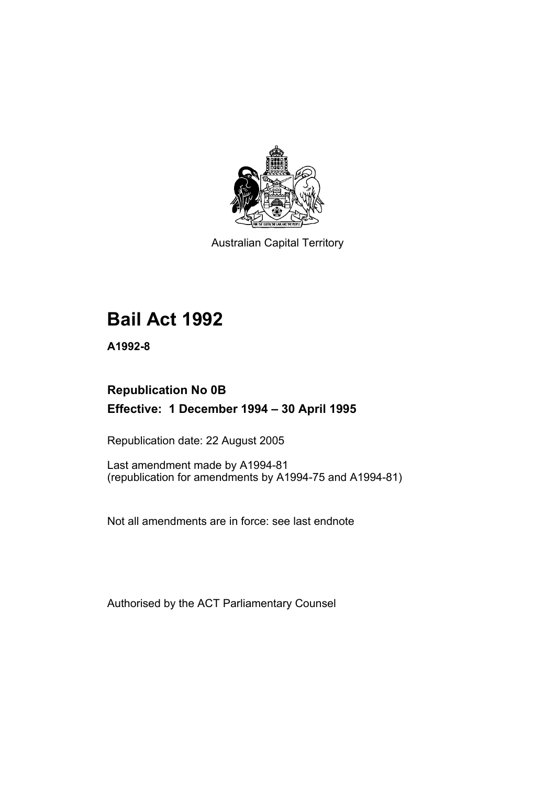

Australian Capital Territory

# **Bail Act 1992**

**A1992-8** 

# **Republication No 0B Effective: 1 December 1994 – 30 April 1995**

Republication date: 22 August 2005

Last amendment made by A1994-81 (republication for amendments by A1994-75 and A1994-81)

Not all amendments are in force: see last endnote

Authorised by the ACT Parliamentary Counsel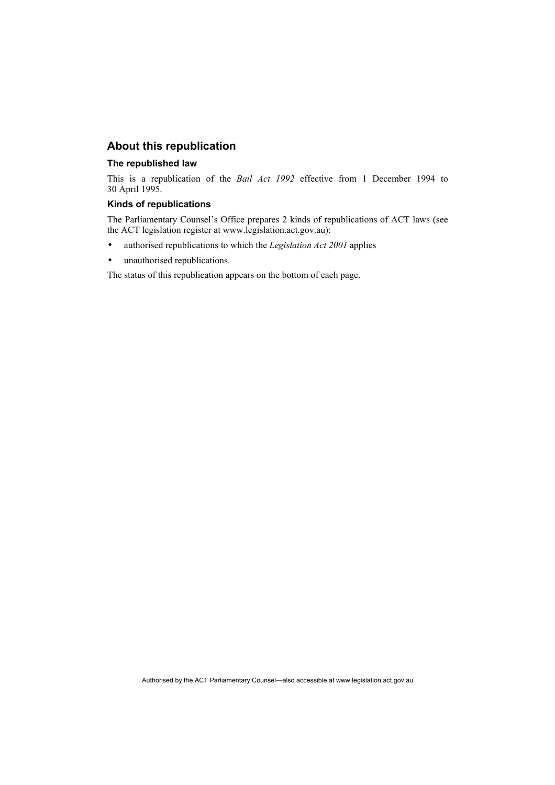### **About this republication**

#### **The republished law**

This is a republication of the *Bail Act 1992* effective from 1 December 1994 to 30 April 1995.

### **Kinds of republications**

The Parliamentary Counsel's Office prepares 2 kinds of republications of ACT laws (see the ACT legislation register at www.legislation.act.gov.au):

- authorised republications to which the *Legislation Act 2001* applies
- unauthorised republications.

The status of this republication appears on the bottom of each page.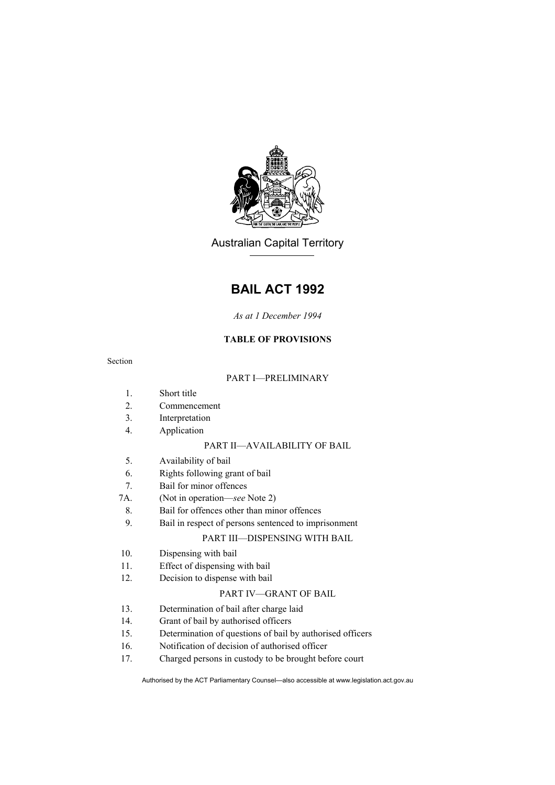

Australian Capital Territory

# **BAIL ACT 1992**

### *As at 1 December 1994*

### **TABLE OF PROVISIONS**

Section

### PART I—PRELIMINARY

- 1. Short title
- 2. Commencement
- 3. Interpretation
- 4. Application

### PART II—AVAILABILITY OF BAIL

- 5. Availability of bail
- 6. Rights following grant of bail
- 7. Bail for minor offences
- 7A. (Not in operation—*see* Note 2)
- 8. Bail for offences other than minor offences
- 9. Bail in respect of persons sentenced to imprisonment

### PART III—DISPENSING WITH BAIL

- 10. Dispensing with bail
- 11. Effect of dispensing with bail
- 12. Decision to dispense with bail

### PART IV—GRANT OF BAIL

- 13. Determination of bail after charge laid
- 14. Grant of bail by authorised officers
- 15. Determination of questions of bail by authorised officers
- 16. Notification of decision of authorised officer
- 17. Charged persons in custody to be brought before court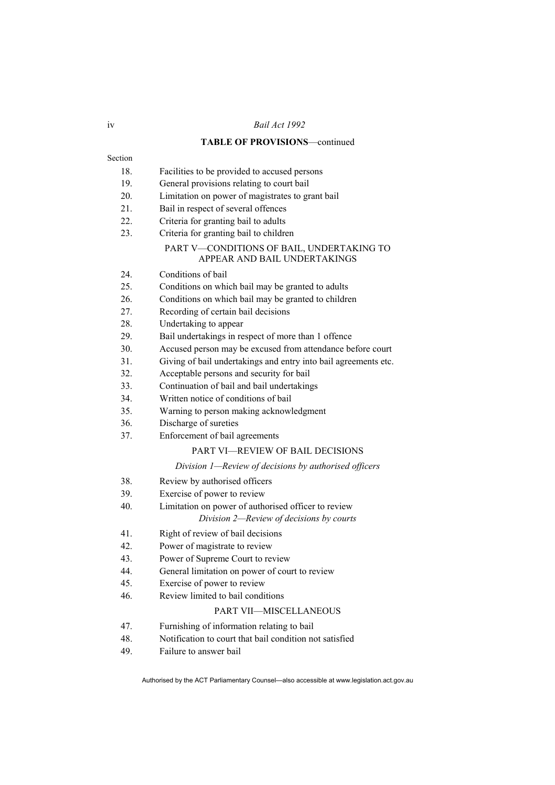#### iv *Bail Act 1992*

#### **TABLE OF PROVISIONS**—continued

Section

- 18. Facilities to be provided to accused persons
- 19. General provisions relating to court bail
- 20. Limitation on power of magistrates to grant bail
- 21. Bail in respect of several offences
- 22. Criteria for granting bail to adults
- 23. Criteria for granting bail to children

#### PART V—CONDITIONS OF BAIL, UNDERTAKING TO APPEAR AND BAIL UNDERTAKINGS

- 24. Conditions of bail
- 25. Conditions on which bail may be granted to adults
- 26. Conditions on which bail may be granted to children
- 27. Recording of certain bail decisions
- 28. Undertaking to appear
- 29. Bail undertakings in respect of more than 1 offence
- 30. Accused person may be excused from attendance before court
- 31. Giving of bail undertakings and entry into bail agreements etc.
- 32. Acceptable persons and security for bail
- 33. Continuation of bail and bail undertakings
- 34. Written notice of conditions of bail
- 35. Warning to person making acknowledgment
- 36. Discharge of sureties
- 37. Enforcement of bail agreements

### PART VI—REVIEW OF BAIL DECISIONS

#### *Division 1—Review of decisions by authorised officers*

- 38. Review by authorised officers
- 39. Exercise of power to review
- 40. Limitation on power of authorised officer to review

#### *Division 2—Review of decisions by courts*

- 41. Right of review of bail decisions
- 42. Power of magistrate to review
- 43. Power of Supreme Court to review
- 44. General limitation on power of court to review
- 45. Exercise of power to review
- 46. Review limited to bail conditions

### PART VII—MISCELLANEOUS

- 47. Furnishing of information relating to bail
- 48. Notification to court that bail condition not satisfied
- 49. Failure to answer bail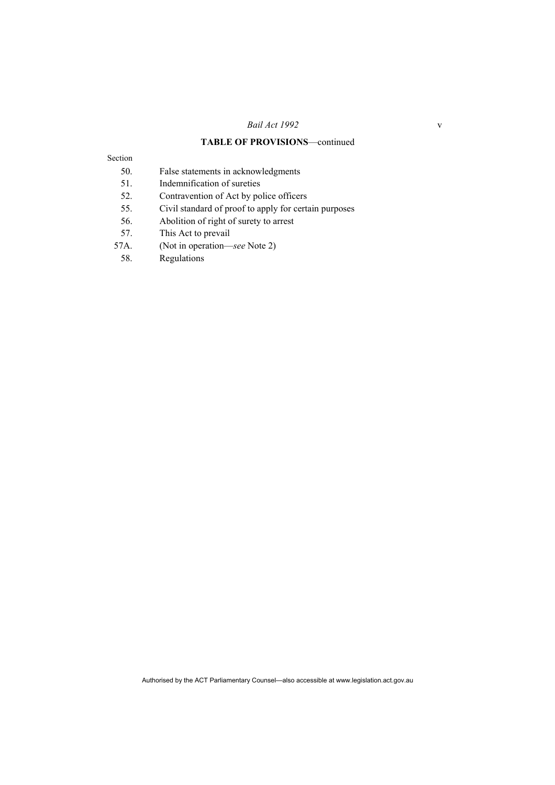### **TABLE OF PROVISIONS**—continued

Section

- 50. False statements in acknowledgments
- 51. Indemnification of sureties
- 52. Contravention of Act by police officers
- 55. Civil standard of proof to apply for certain purposes
- 56. Abolition of right of surety to arrest
- 57. This Act to prevail
- 57A. (Not in operation—*see* Note 2)
- 58. Regulations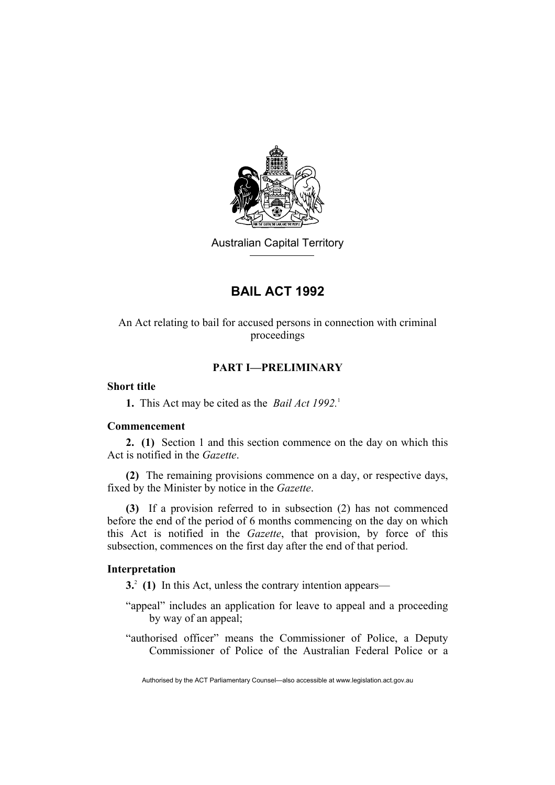

Australian Capital Territory

# **BAIL ACT 1992**

### An Act relating to bail for accused persons in connection with criminal proceedings

### **PART I—PRELIMINARY**

### **Short title**

**1.** This Act may be cited as the *Bail Act 1992*.<sup>1</sup>

### **Commencement**

**2. (1)** Section 1 and this section commence on the day on which this Act is notified in the *Gazette*.

**(2)** The remaining provisions commence on a day, or respective days, fixed by the Minister by notice in the *Gazette*.

**(3)** If a provision referred to in subsection (2) has not commenced before the end of the period of 6 months commencing on the day on which this Act is notified in the *Gazette*, that provision, by force of this subsection, commences on the first day after the end of that period.

### **Interpretation**

**3.**2  **(1)** In this Act, unless the contrary intention appears—

- "appeal" includes an application for leave to appeal and a proceeding by way of an appeal;
- "authorised officer" means the Commissioner of Police, a Deputy Commissioner of Police of the Australian Federal Police or a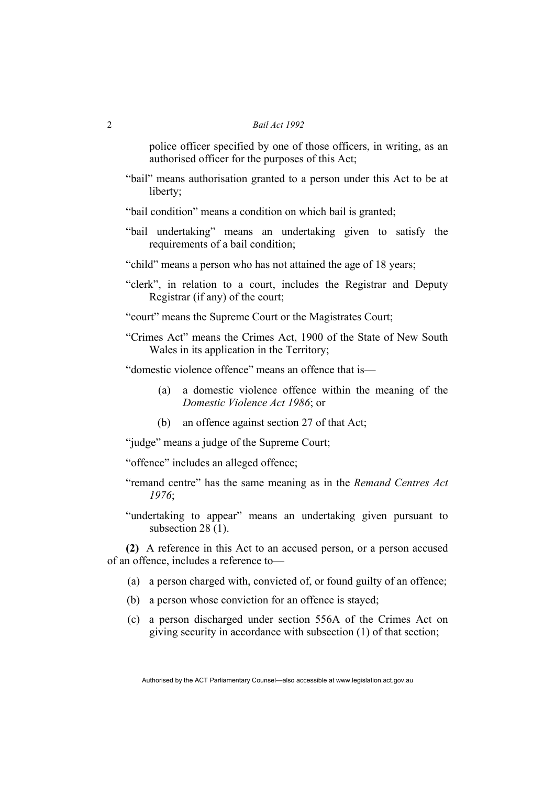police officer specified by one of those officers, in writing, as an authorised officer for the purposes of this Act;

"bail" means authorisation granted to a person under this Act to be at liberty;

"bail condition" means a condition on which bail is granted;

- "bail undertaking" means an undertaking given to satisfy the requirements of a bail condition;
- "child" means a person who has not attained the age of 18 years;
- "clerk", in relation to a court, includes the Registrar and Deputy Registrar (if any) of the court;
- "court" means the Supreme Court or the Magistrates Court;
- "Crimes Act" means the Crimes Act, 1900 of the State of New South Wales in its application in the Territory;

"domestic violence offence" means an offence that is—

- (a) a domestic violence offence within the meaning of the *Domestic Violence Act 1986*; or
- (b) an offence against section 27 of that Act;

"judge" means a judge of the Supreme Court;

"offence" includes an alleged offence;

- "remand centre" has the same meaning as in the *Remand Centres Act 1976*;
- "undertaking to appear" means an undertaking given pursuant to subsection 28 (1).

**(2)** A reference in this Act to an accused person, or a person accused of an offence, includes a reference to—

- (a) a person charged with, convicted of, or found guilty of an offence;
- (b) a person whose conviction for an offence is stayed;
- (c) a person discharged under section 556A of the Crimes Act on giving security in accordance with subsection (1) of that section;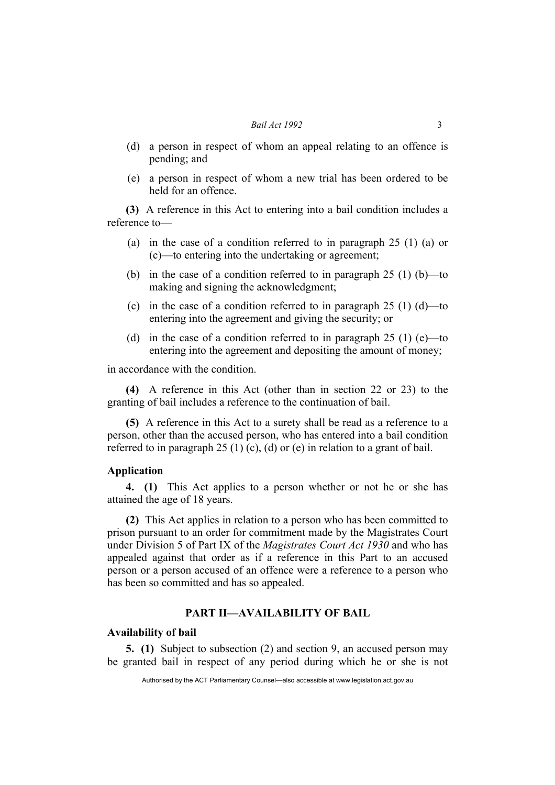- (d) a person in respect of whom an appeal relating to an offence is pending; and
- (e) a person in respect of whom a new trial has been ordered to be held for an offence.

**(3)** A reference in this Act to entering into a bail condition includes a reference to—

- (a) in the case of a condition referred to in paragraph 25 (1) (a) or (c)—to entering into the undertaking or agreement;
- (b) in the case of a condition referred to in paragraph  $25(1)$  (b)—to making and signing the acknowledgment;
- (c) in the case of a condition referred to in paragraph  $25(1)(d)$ —to entering into the agreement and giving the security; or
- (d) in the case of a condition referred to in paragraph  $25(1)$  (e)—to entering into the agreement and depositing the amount of money;

in accordance with the condition.

**(4)** A reference in this Act (other than in section 22 or 23) to the granting of bail includes a reference to the continuation of bail.

**(5)** A reference in this Act to a surety shall be read as a reference to a person, other than the accused person, who has entered into a bail condition referred to in paragraph 25 (1) (c), (d) or (e) in relation to a grant of bail.

### **Application**

**4. (1)** This Act applies to a person whether or not he or she has attained the age of 18 years.

**(2)** This Act applies in relation to a person who has been committed to prison pursuant to an order for commitment made by the Magistrates Court under Division 5 of Part IX of the *Magistrates Court Act 1930* and who has appealed against that order as if a reference in this Part to an accused person or a person accused of an offence were a reference to a person who has been so committed and has so appealed.

### **PART II—AVAILABILITY OF BAIL**

### **Availability of bail**

**5. (1)** Subject to subsection (2) and section 9, an accused person may be granted bail in respect of any period during which he or she is not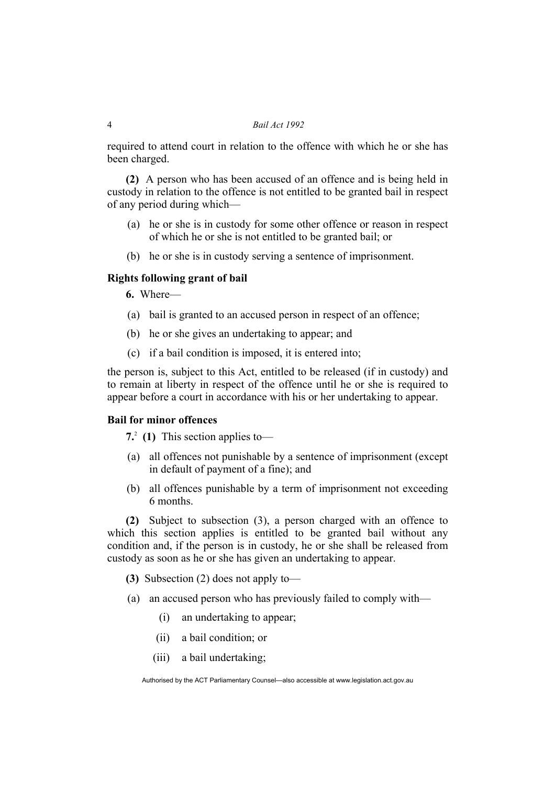required to attend court in relation to the offence with which he or she has been charged.

**(2)** A person who has been accused of an offence and is being held in custody in relation to the offence is not entitled to be granted bail in respect of any period during which—

- (a) he or she is in custody for some other offence or reason in respect of which he or she is not entitled to be granted bail; or
- (b) he or she is in custody serving a sentence of imprisonment.

### **Rights following grant of bail**

**6.** Where—

- (a) bail is granted to an accused person in respect of an offence;
- (b) he or she gives an undertaking to appear; and
- (c) if a bail condition is imposed, it is entered into;

the person is, subject to this Act, entitled to be released (if in custody) and to remain at liberty in respect of the offence until he or she is required to appear before a court in accordance with his or her undertaking to appear.

### **Bail for minor offences**

**7.**2  **(1)** This section applies to—

- (a) all offences not punishable by a sentence of imprisonment (except in default of payment of a fine); and
- (b) all offences punishable by a term of imprisonment not exceeding 6 months.

**(2)** Subject to subsection (3), a person charged with an offence to which this section applies is entitled to be granted bail without any condition and, if the person is in custody, he or she shall be released from custody as soon as he or she has given an undertaking to appear.

**(3)** Subsection (2) does not apply to—

- (a) an accused person who has previously failed to comply with—
	- (i) an undertaking to appear;
	- (ii) a bail condition; or
	- (iii) a bail undertaking;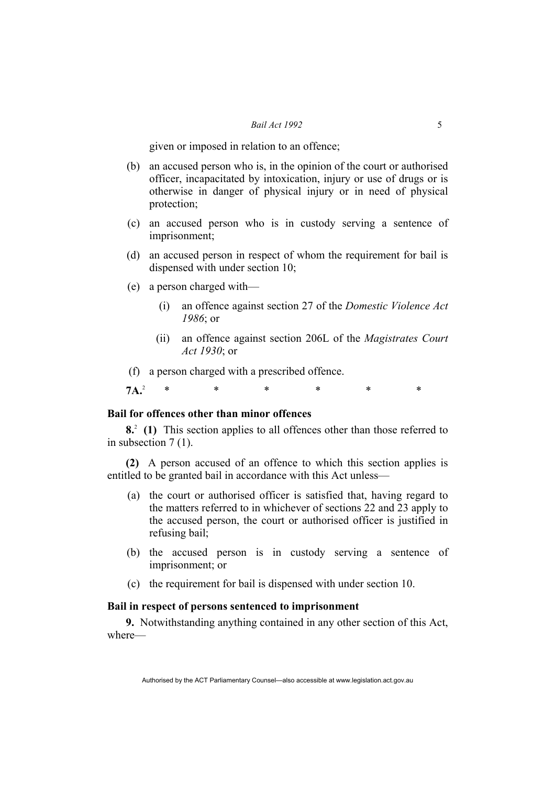given or imposed in relation to an offence;

- (b) an accused person who is, in the opinion of the court or authorised officer, incapacitated by intoxication, injury or use of drugs or is otherwise in danger of physical injury or in need of physical protection;
- (c) an accused person who is in custody serving a sentence of imprisonment;
- (d) an accused person in respect of whom the requirement for bail is dispensed with under section 10;
- (e) a person charged with—
	- (i) an offence against section 27 of the *Domestic Violence Act 1986*; or
	- (ii) an offence against section 206L of the *Magistrates Court Act 1930*; or

(f) a person charged with a prescribed offence.

 $7A<sup>2</sup>$ \* \* \* \* \* \*

### **Bail for offences other than minor offences**

**8.**2  **(1)** This section applies to all offences other than those referred to in subsection 7 (1).

**(2)** A person accused of an offence to which this section applies is entitled to be granted bail in accordance with this Act unless—

- (a) the court or authorised officer is satisfied that, having regard to the matters referred to in whichever of sections 22 and 23 apply to the accused person, the court or authorised officer is justified in refusing bail;
- (b) the accused person is in custody serving a sentence of imprisonment; or
- (c) the requirement for bail is dispensed with under section 10.

### **Bail in respect of persons sentenced to imprisonment**

**9.** Notwithstanding anything contained in any other section of this Act, where—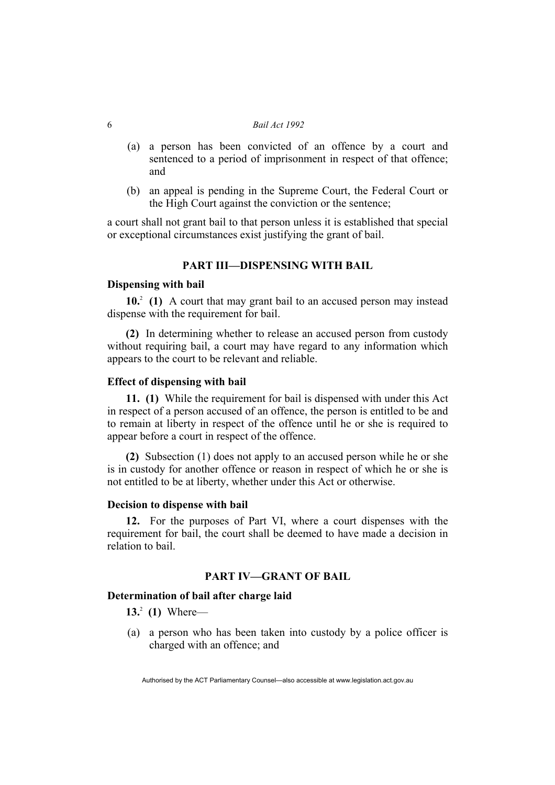- (a) a person has been convicted of an offence by a court and sentenced to a period of imprisonment in respect of that offence; and
- (b) an appeal is pending in the Supreme Court, the Federal Court or the High Court against the conviction or the sentence;

a court shall not grant bail to that person unless it is established that special or exceptional circumstances exist justifying the grant of bail.

### **PART III—DISPENSING WITH BAIL**

### **Dispensing with bail**

10<sup>2</sup> (1) A court that may grant bail to an accused person may instead dispense with the requirement for bail.

**(2)** In determining whether to release an accused person from custody without requiring bail, a court may have regard to any information which appears to the court to be relevant and reliable.

### **Effect of dispensing with bail**

**11. (1)** While the requirement for bail is dispensed with under this Act in respect of a person accused of an offence, the person is entitled to be and to remain at liberty in respect of the offence until he or she is required to appear before a court in respect of the offence.

**(2)** Subsection (1) does not apply to an accused person while he or she is in custody for another offence or reason in respect of which he or she is not entitled to be at liberty, whether under this Act or otherwise.

### **Decision to dispense with bail**

**12.** For the purposes of Part VI, where a court dispenses with the requirement for bail, the court shall be deemed to have made a decision in relation to bail.

### **PART IV—GRANT OF BAIL**

### **Determination of bail after charge laid**

**13.**<sup>2</sup>  **(1)** Where—

 (a) a person who has been taken into custody by a police officer is charged with an offence; and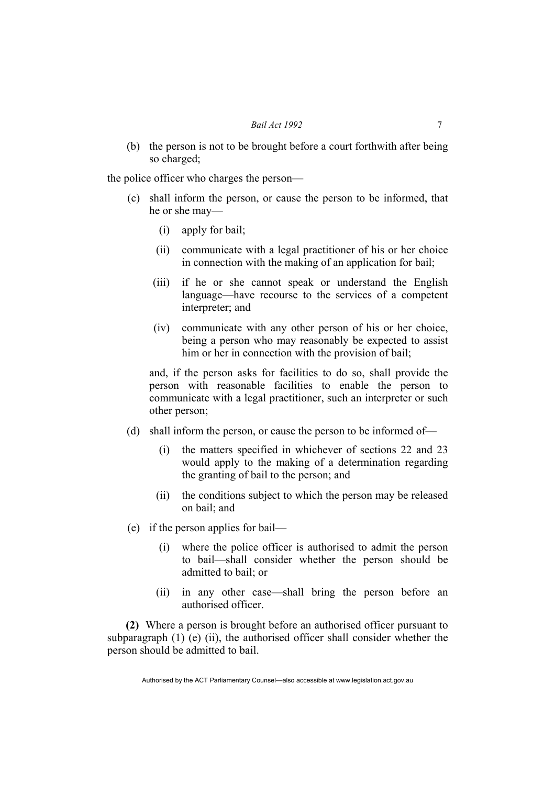(b) the person is not to be brought before a court forthwith after being so charged;

the police officer who charges the person—

- (c) shall inform the person, or cause the person to be informed, that he or she may—
	- (i) apply for bail;
	- (ii) communicate with a legal practitioner of his or her choice in connection with the making of an application for bail;
	- (iii) if he or she cannot speak or understand the English language—have recourse to the services of a competent interpreter; and
	- (iv) communicate with any other person of his or her choice, being a person who may reasonably be expected to assist him or her in connection with the provision of bail;

and, if the person asks for facilities to do so, shall provide the person with reasonable facilities to enable the person to communicate with a legal practitioner, such an interpreter or such other person;

- (d) shall inform the person, or cause the person to be informed of—
	- (i) the matters specified in whichever of sections 22 and 23 would apply to the making of a determination regarding the granting of bail to the person; and
	- (ii) the conditions subject to which the person may be released on bail; and
- (e) if the person applies for bail—
	- (i) where the police officer is authorised to admit the person to bail—shall consider whether the person should be admitted to bail; or
	- (ii) in any other case—shall bring the person before an authorised officer.

**(2)** Where a person is brought before an authorised officer pursuant to subparagraph  $(1)$  (e)  $(ii)$ , the authorised officer shall consider whether the person should be admitted to bail.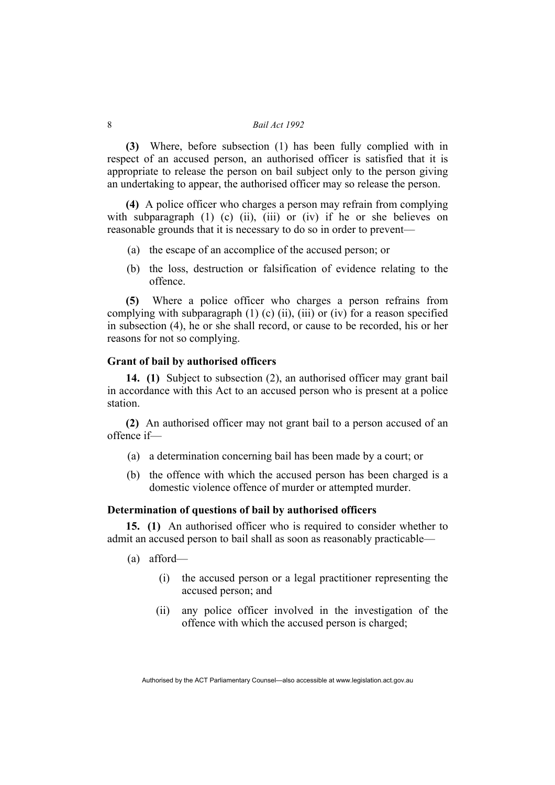**(3)** Where, before subsection (1) has been fully complied with in respect of an accused person, an authorised officer is satisfied that it is appropriate to release the person on bail subject only to the person giving an undertaking to appear, the authorised officer may so release the person.

**(4)** A police officer who charges a person may refrain from complying with subparagraph  $(1)$   $(c)$   $(ii)$ ,  $(iii)$  or  $(iv)$  if he or she believes on reasonable grounds that it is necessary to do so in order to prevent—

- (a) the escape of an accomplice of the accused person; or
- (b) the loss, destruction or falsification of evidence relating to the offence.

**(5)** Where a police officer who charges a person refrains from complying with subparagraph  $(1)$  (c) (ii), (iii) or (iv) for a reason specified in subsection (4), he or she shall record, or cause to be recorded, his or her reasons for not so complying.

### **Grant of bail by authorised officers**

**14. (1)** Subject to subsection (2), an authorised officer may grant bail in accordance with this Act to an accused person who is present at a police station.

**(2)** An authorised officer may not grant bail to a person accused of an offence if—

- (a) a determination concerning bail has been made by a court; or
- (b) the offence with which the accused person has been charged is a domestic violence offence of murder or attempted murder.

### **Determination of questions of bail by authorised officers**

**15. (1)** An authorised officer who is required to consider whether to admit an accused person to bail shall as soon as reasonably practicable—

- (a) afford—
	- (i) the accused person or a legal practitioner representing the accused person; and
	- (ii) any police officer involved in the investigation of the offence with which the accused person is charged;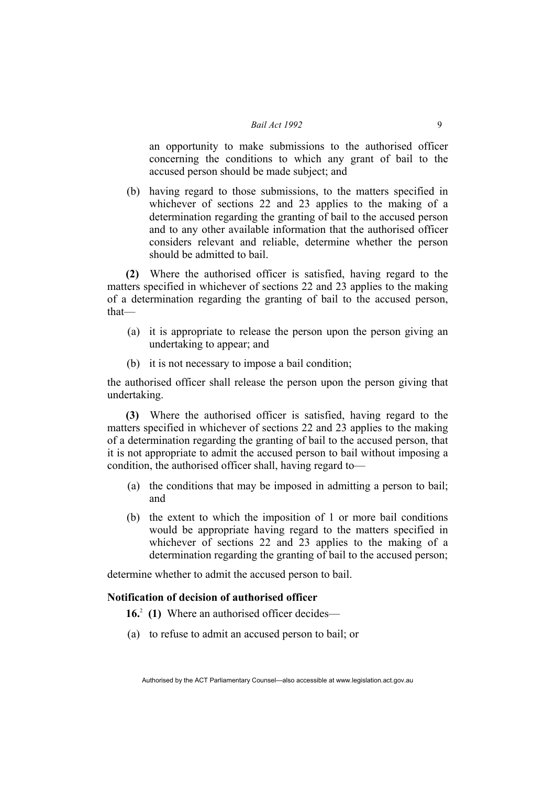an opportunity to make submissions to the authorised officer concerning the conditions to which any grant of bail to the accused person should be made subject; and

 (b) having regard to those submissions, to the matters specified in whichever of sections 22 and 23 applies to the making of a determination regarding the granting of bail to the accused person and to any other available information that the authorised officer considers relevant and reliable, determine whether the person should be admitted to bail.

**(2)** Where the authorised officer is satisfied, having regard to the matters specified in whichever of sections 22 and 23 applies to the making of a determination regarding the granting of bail to the accused person, that—

- (a) it is appropriate to release the person upon the person giving an undertaking to appear; and
- (b) it is not necessary to impose a bail condition;

the authorised officer shall release the person upon the person giving that undertaking.

**(3)** Where the authorised officer is satisfied, having regard to the matters specified in whichever of sections 22 and 23 applies to the making of a determination regarding the granting of bail to the accused person, that it is not appropriate to admit the accused person to bail without imposing a condition, the authorised officer shall, having regard to—

- (a) the conditions that may be imposed in admitting a person to bail; and
- (b) the extent to which the imposition of 1 or more bail conditions would be appropriate having regard to the matters specified in whichever of sections 22 and 23 applies to the making of a determination regarding the granting of bail to the accused person;

determine whether to admit the accused person to bail.

### **Notification of decision of authorised officer**

**16.**<sup>2</sup> (1) Where an authorised officer decides—

(a) to refuse to admit an accused person to bail; or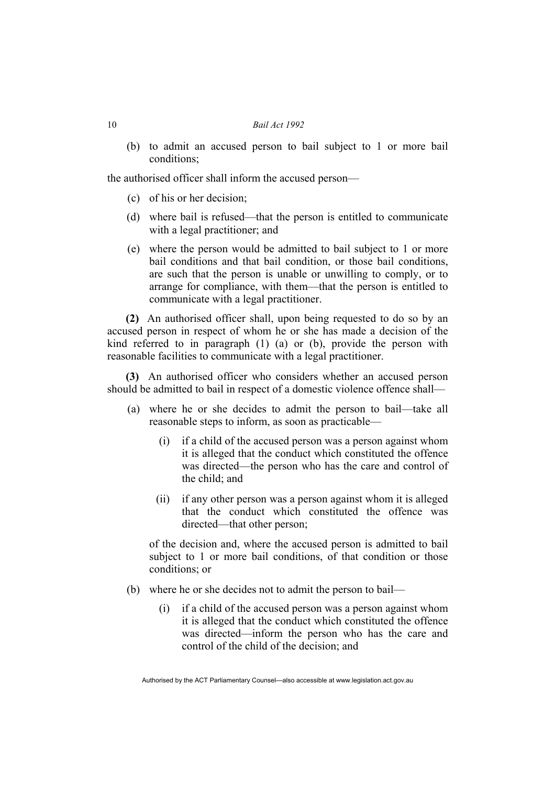(b) to admit an accused person to bail subject to 1 or more bail conditions;

the authorised officer shall inform the accused person—

- (c) of his or her decision;
- (d) where bail is refused—that the person is entitled to communicate with a legal practitioner; and
- (e) where the person would be admitted to bail subject to 1 or more bail conditions and that bail condition, or those bail conditions, are such that the person is unable or unwilling to comply, or to arrange for compliance, with them—that the person is entitled to communicate with a legal practitioner.

**(2)** An authorised officer shall, upon being requested to do so by an accused person in respect of whom he or she has made a decision of the kind referred to in paragraph (1) (a) or (b), provide the person with reasonable facilities to communicate with a legal practitioner.

**(3)** An authorised officer who considers whether an accused person should be admitted to bail in respect of a domestic violence offence shall—

- (a) where he or she decides to admit the person to bail—take all reasonable steps to inform, as soon as practicable—
	- (i) if a child of the accused person was a person against whom it is alleged that the conduct which constituted the offence was directed—the person who has the care and control of the child; and
	- (ii) if any other person was a person against whom it is alleged that the conduct which constituted the offence was directed—that other person;

of the decision and, where the accused person is admitted to bail subject to 1 or more bail conditions, of that condition or those conditions; or

- (b) where he or she decides not to admit the person to bail—
	- (i) if a child of the accused person was a person against whom it is alleged that the conduct which constituted the offence was directed—inform the person who has the care and control of the child of the decision; and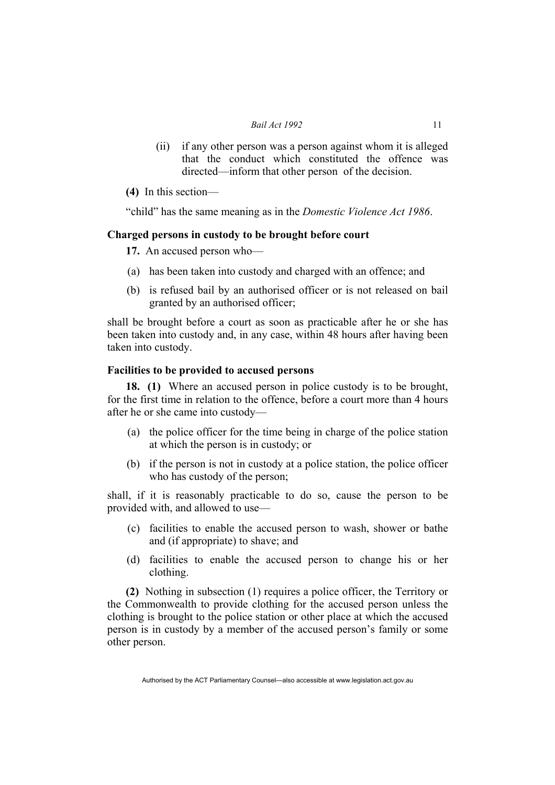- (ii) if any other person was a person against whom it is alleged that the conduct which constituted the offence was directed—inform that other person of the decision.
- **(4)** In this section—

"child" has the same meaning as in the *Domestic Violence Act 1986*.

### **Charged persons in custody to be brought before court**

**17.** An accused person who—

- (a) has been taken into custody and charged with an offence; and
- (b) is refused bail by an authorised officer or is not released on bail granted by an authorised officer;

shall be brought before a court as soon as practicable after he or she has been taken into custody and, in any case, within 48 hours after having been taken into custody.

### **Facilities to be provided to accused persons**

**18. (1)** Where an accused person in police custody is to be brought, for the first time in relation to the offence, before a court more than 4 hours after he or she came into custody—

- (a) the police officer for the time being in charge of the police station at which the person is in custody; or
- (b) if the person is not in custody at a police station, the police officer who has custody of the person;

shall, if it is reasonably practicable to do so, cause the person to be provided with, and allowed to use—

- (c) facilities to enable the accused person to wash, shower or bathe and (if appropriate) to shave; and
- (d) facilities to enable the accused person to change his or her clothing.

**(2)** Nothing in subsection (1) requires a police officer, the Territory or the Commonwealth to provide clothing for the accused person unless the clothing is brought to the police station or other place at which the accused person is in custody by a member of the accused person's family or some other person.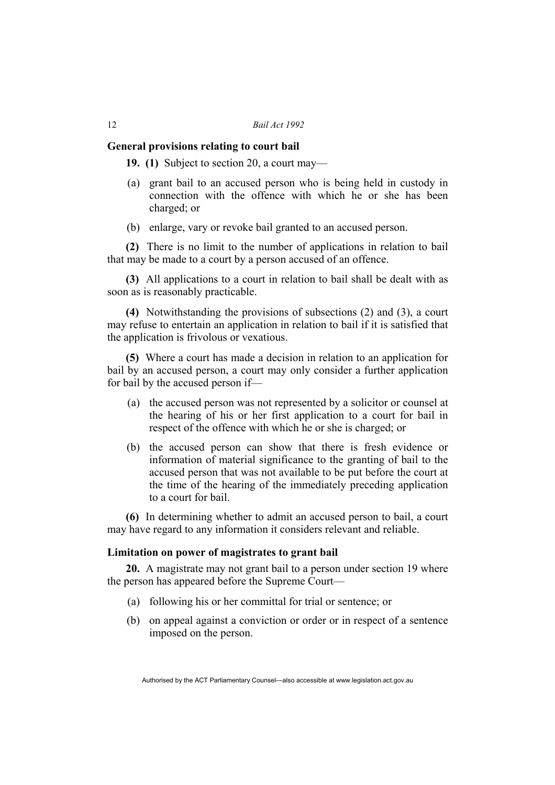#### **General provisions relating to court bail**

**19. (1)** Subject to section 20, a court may—

- (a) grant bail to an accused person who is being held in custody in connection with the offence with which he or she has been charged; or
- (b) enlarge, vary or revoke bail granted to an accused person.

**(2)** There is no limit to the number of applications in relation to bail that may be made to a court by a person accused of an offence.

**(3)** All applications to a court in relation to bail shall be dealt with as soon as is reasonably practicable.

**(4)** Notwithstanding the provisions of subsections (2) and (3), a court may refuse to entertain an application in relation to bail if it is satisfied that the application is frivolous or vexatious.

**(5)** Where a court has made a decision in relation to an application for bail by an accused person, a court may only consider a further application for bail by the accused person if—

- (a) the accused person was not represented by a solicitor or counsel at the hearing of his or her first application to a court for bail in respect of the offence with which he or she is charged; or
- (b) the accused person can show that there is fresh evidence or information of material significance to the granting of bail to the accused person that was not available to be put before the court at the time of the hearing of the immediately preceding application to a court for bail.

**(6)** In determining whether to admit an accused person to bail, a court may have regard to any information it considers relevant and reliable.

### **Limitation on power of magistrates to grant bail**

**20.** A magistrate may not grant bail to a person under section 19 where the person has appeared before the Supreme Court—

- (a) following his or her committal for trial or sentence; or
- (b) on appeal against a conviction or order or in respect of a sentence imposed on the person.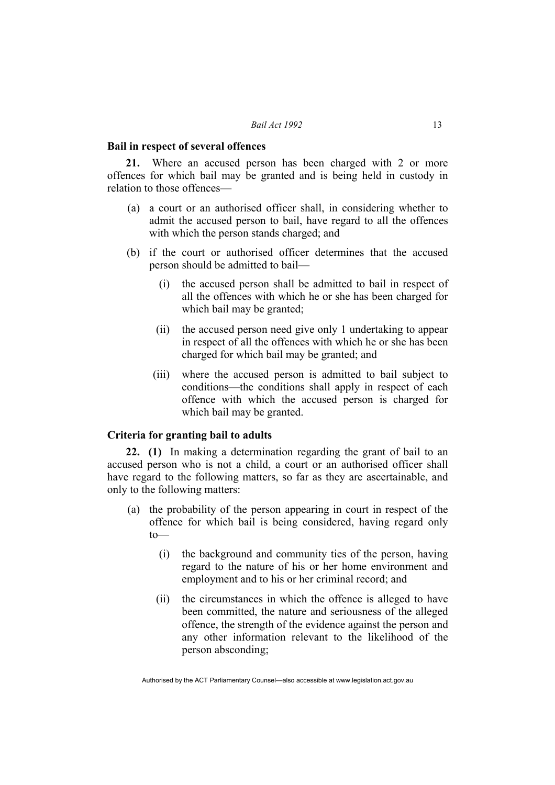#### **Bail in respect of several offences**

Where an accused person has been charged with 2 or more offences for which bail may be granted and is being held in custody in relation to those offences—

- (a) a court or an authorised officer shall, in considering whether to admit the accused person to bail, have regard to all the offences with which the person stands charged; and
- (b) if the court or authorised officer determines that the accused person should be admitted to bail—
	- (i) the accused person shall be admitted to bail in respect of all the offences with which he or she has been charged for which bail may be granted;
	- (ii) the accused person need give only 1 undertaking to appear in respect of all the offences with which he or she has been charged for which bail may be granted; and
	- (iii) where the accused person is admitted to bail subject to conditions—the conditions shall apply in respect of each offence with which the accused person is charged for which bail may be granted.

### **Criteria for granting bail to adults**

**22. (1)** In making a determination regarding the grant of bail to an accused person who is not a child, a court or an authorised officer shall have regard to the following matters, so far as they are ascertainable, and only to the following matters:

- (a) the probability of the person appearing in court in respect of the offence for which bail is being considered, having regard only  $to$ 
	- (i) the background and community ties of the person, having regard to the nature of his or her home environment and employment and to his or her criminal record; and
	- (ii) the circumstances in which the offence is alleged to have been committed, the nature and seriousness of the alleged offence, the strength of the evidence against the person and any other information relevant to the likelihood of the person absconding;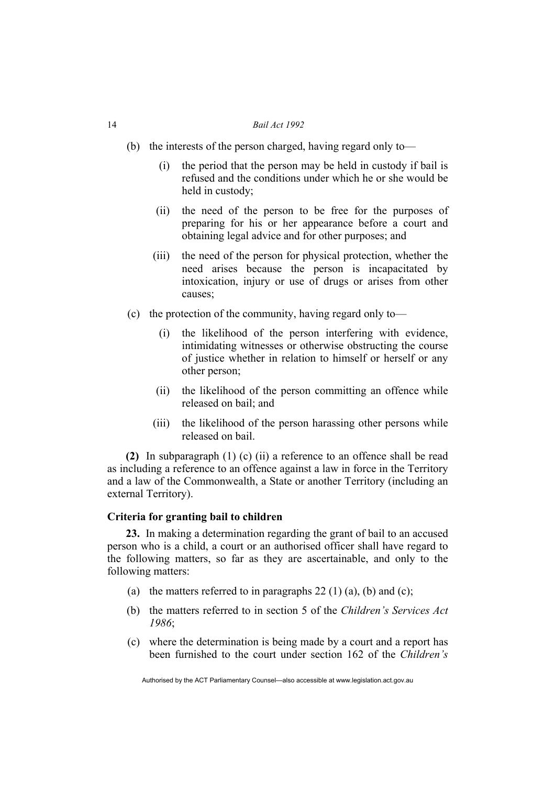- (b) the interests of the person charged, having regard only to—
	- (i) the period that the person may be held in custody if bail is refused and the conditions under which he or she would be held in custody;
	- (ii) the need of the person to be free for the purposes of preparing for his or her appearance before a court and obtaining legal advice and for other purposes; and
	- (iii) the need of the person for physical protection, whether the need arises because the person is incapacitated by intoxication, injury or use of drugs or arises from other causes;
- (c) the protection of the community, having regard only to—
	- (i) the likelihood of the person interfering with evidence, intimidating witnesses or otherwise obstructing the course of justice whether in relation to himself or herself or any other person;
	- (ii) the likelihood of the person committing an offence while released on bail; and
	- (iii) the likelihood of the person harassing other persons while released on bail.

**(2)** In subparagraph (1) (c) (ii) a reference to an offence shall be read as including a reference to an offence against a law in force in the Territory and a law of the Commonwealth, a State or another Territory (including an external Territory).

### **Criteria for granting bail to children**

**23.** In making a determination regarding the grant of bail to an accused person who is a child, a court or an authorised officer shall have regard to the following matters, so far as they are ascertainable, and only to the following matters:

- (a) the matters referred to in paragraphs  $22(1)(a)$ , (b) and (c);
- (b) the matters referred to in section 5 of the *Children's Services Act 1986*;
- (c) where the determination is being made by a court and a report has been furnished to the court under section 162 of the *Children's*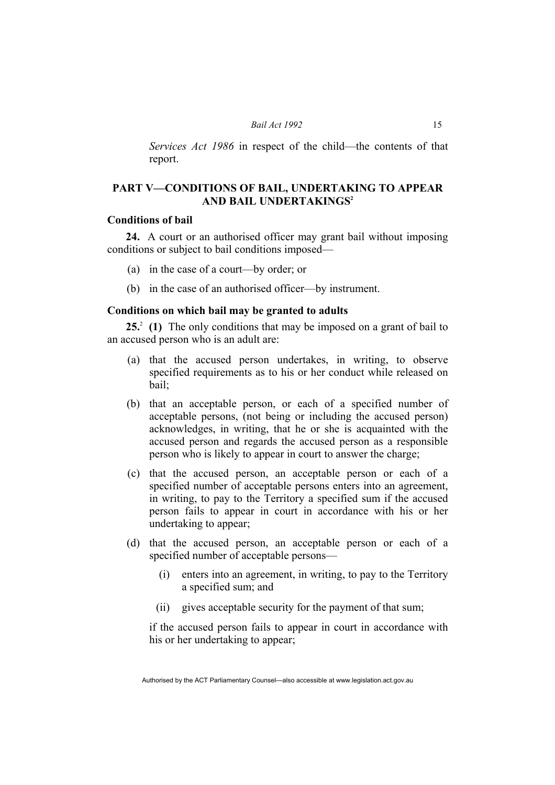*Services Act 1986* in respect of the child—the contents of that report.

### **PART V—CONDITIONS OF BAIL, UNDERTAKING TO APPEAR AND BAIL UNDERTAKINGS2**

### **Conditions of bail**

**24.** A court or an authorised officer may grant bail without imposing conditions or subject to bail conditions imposed—

- (a) in the case of a court—by order; or
- (b) in the case of an authorised officer—by instrument.

### **Conditions on which bail may be granted to adults**

25<sup>2</sup> (1) The only conditions that may be imposed on a grant of bail to an accused person who is an adult are:

- (a) that the accused person undertakes, in writing, to observe specified requirements as to his or her conduct while released on bail;
- (b) that an acceptable person, or each of a specified number of acceptable persons, (not being or including the accused person) acknowledges, in writing, that he or she is acquainted with the accused person and regards the accused person as a responsible person who is likely to appear in court to answer the charge;
- (c) that the accused person, an acceptable person or each of a specified number of acceptable persons enters into an agreement, in writing, to pay to the Territory a specified sum if the accused person fails to appear in court in accordance with his or her undertaking to appear;
- (d) that the accused person, an acceptable person or each of a specified number of acceptable persons—
	- (i) enters into an agreement, in writing, to pay to the Territory a specified sum; and
	- (ii) gives acceptable security for the payment of that sum;

if the accused person fails to appear in court in accordance with his or her undertaking to appear;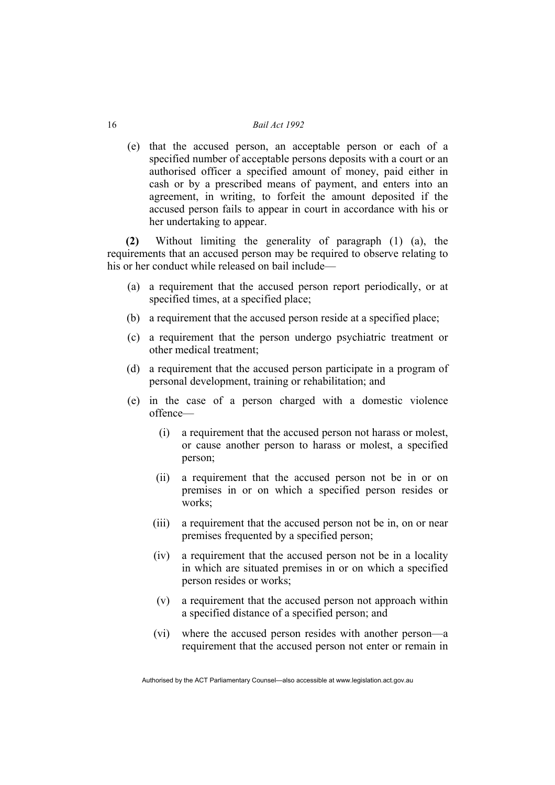(e) that the accused person, an acceptable person or each of a specified number of acceptable persons deposits with a court or an authorised officer a specified amount of money, paid either in cash or by a prescribed means of payment, and enters into an agreement, in writing, to forfeit the amount deposited if the accused person fails to appear in court in accordance with his or her undertaking to appear.

**(2)** Without limiting the generality of paragraph (1) (a), the requirements that an accused person may be required to observe relating to his or her conduct while released on bail include—

- (a) a requirement that the accused person report periodically, or at specified times, at a specified place;
- (b) a requirement that the accused person reside at a specified place;
- (c) a requirement that the person undergo psychiatric treatment or other medical treatment;
- (d) a requirement that the accused person participate in a program of personal development, training or rehabilitation; and
- (e) in the case of a person charged with a domestic violence offence—
	- (i) a requirement that the accused person not harass or molest, or cause another person to harass or molest, a specified person;
	- (ii) a requirement that the accused person not be in or on premises in or on which a specified person resides or works;
	- (iii) a requirement that the accused person not be in, on or near premises frequented by a specified person;
	- (iv) a requirement that the accused person not be in a locality in which are situated premises in or on which a specified person resides or works;
	- (v) a requirement that the accused person not approach within a specified distance of a specified person; and
	- (vi) where the accused person resides with another person—a requirement that the accused person not enter or remain in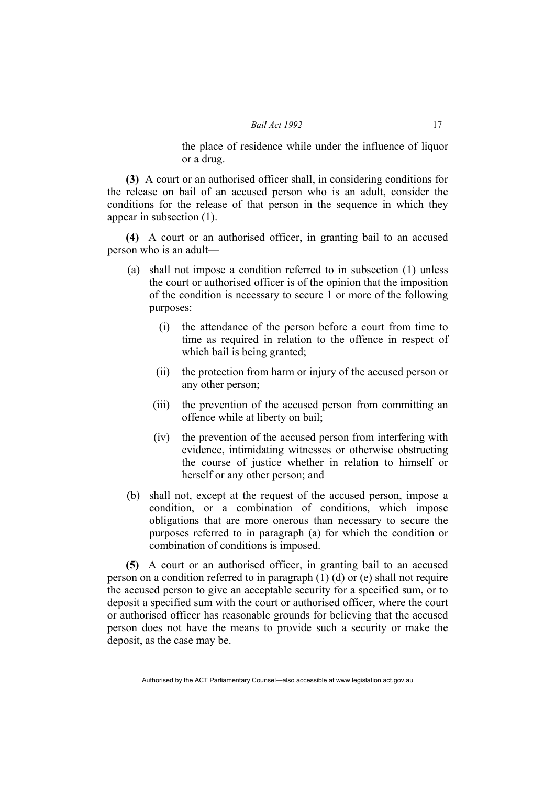the place of residence while under the influence of liquor or a drug.

**(3)** A court or an authorised officer shall, in considering conditions for the release on bail of an accused person who is an adult, consider the conditions for the release of that person in the sequence in which they appear in subsection (1).

**(4)** A court or an authorised officer, in granting bail to an accused person who is an adult—

- (a) shall not impose a condition referred to in subsection (1) unless the court or authorised officer is of the opinion that the imposition of the condition is necessary to secure 1 or more of the following purposes:
	- (i) the attendance of the person before a court from time to time as required in relation to the offence in respect of which bail is being granted;
	- (ii) the protection from harm or injury of the accused person or any other person;
	- (iii) the prevention of the accused person from committing an offence while at liberty on bail;
	- (iv) the prevention of the accused person from interfering with evidence, intimidating witnesses or otherwise obstructing the course of justice whether in relation to himself or herself or any other person; and
- (b) shall not, except at the request of the accused person, impose a condition, or a combination of conditions, which impose obligations that are more onerous than necessary to secure the purposes referred to in paragraph (a) for which the condition or combination of conditions is imposed.

**(5)** A court or an authorised officer, in granting bail to an accused person on a condition referred to in paragraph (1) (d) or (e) shall not require the accused person to give an acceptable security for a specified sum, or to deposit a specified sum with the court or authorised officer, where the court or authorised officer has reasonable grounds for believing that the accused person does not have the means to provide such a security or make the deposit, as the case may be.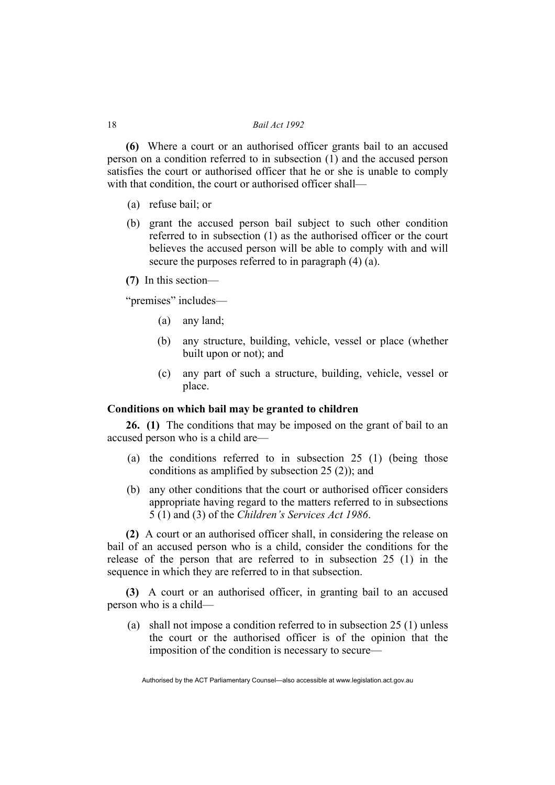**(6)** Where a court or an authorised officer grants bail to an accused person on a condition referred to in subsection (1) and the accused person satisfies the court or authorised officer that he or she is unable to comply with that condition, the court or authorised officer shall—

- (a) refuse bail; or
- (b) grant the accused person bail subject to such other condition referred to in subsection (1) as the authorised officer or the court believes the accused person will be able to comply with and will secure the purposes referred to in paragraph (4) (a).

**(7)** In this section—

"premises" includes—

- (a) any land;
- (b) any structure, building, vehicle, vessel or place (whether built upon or not); and
- (c) any part of such a structure, building, vehicle, vessel or place.

### **Conditions on which bail may be granted to children**

**26. (1)** The conditions that may be imposed on the grant of bail to an accused person who is a child are—

- (a) the conditions referred to in subsection 25 (1) (being those conditions as amplified by subsection 25 (2)); and
- (b) any other conditions that the court or authorised officer considers appropriate having regard to the matters referred to in subsections 5 (1) and (3) of the *Children's Services Act 1986*.

**(2)** A court or an authorised officer shall, in considering the release on bail of an accused person who is a child, consider the conditions for the release of the person that are referred to in subsection 25 (1) in the sequence in which they are referred to in that subsection.

**(3)** A court or an authorised officer, in granting bail to an accused person who is a child—

 (a) shall not impose a condition referred to in subsection 25 (1) unless the court or the authorised officer is of the opinion that the imposition of the condition is necessary to secure—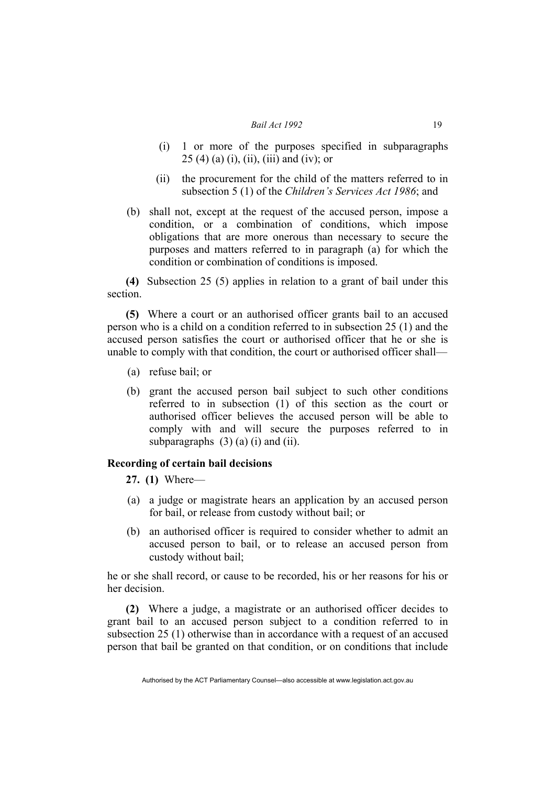- (i) 1 or more of the purposes specified in subparagraphs  $25(4)$  (a) (i), (ii), (iii) and (iv); or
- (ii) the procurement for the child of the matters referred to in subsection 5 (1) of the *Children's Services Act 1986*; and
- (b) shall not, except at the request of the accused person, impose a condition, or a combination of conditions, which impose obligations that are more onerous than necessary to secure the purposes and matters referred to in paragraph (a) for which the condition or combination of conditions is imposed.

**(4)** Subsection 25 (5) applies in relation to a grant of bail under this section.

**(5)** Where a court or an authorised officer grants bail to an accused person who is a child on a condition referred to in subsection 25 (1) and the accused person satisfies the court or authorised officer that he or she is unable to comply with that condition, the court or authorised officer shall—

- (a) refuse bail; or
- (b) grant the accused person bail subject to such other conditions referred to in subsection (1) of this section as the court or authorised officer believes the accused person will be able to comply with and will secure the purposes referred to in subparagraphs  $(3)$  (a) (i) and (ii).

### **Recording of certain bail decisions**

**27. (1)** Where—

- (a) a judge or magistrate hears an application by an accused person for bail, or release from custody without bail; or
- (b) an authorised officer is required to consider whether to admit an accused person to bail, or to release an accused person from custody without bail;

he or she shall record, or cause to be recorded, his or her reasons for his or her decision.

**(2)** Where a judge, a magistrate or an authorised officer decides to grant bail to an accused person subject to a condition referred to in subsection 25 (1) otherwise than in accordance with a request of an accused person that bail be granted on that condition, or on conditions that include

Authorised by the ACT Parliamentary Counsel—also accessible at www.legislation.act.gov.au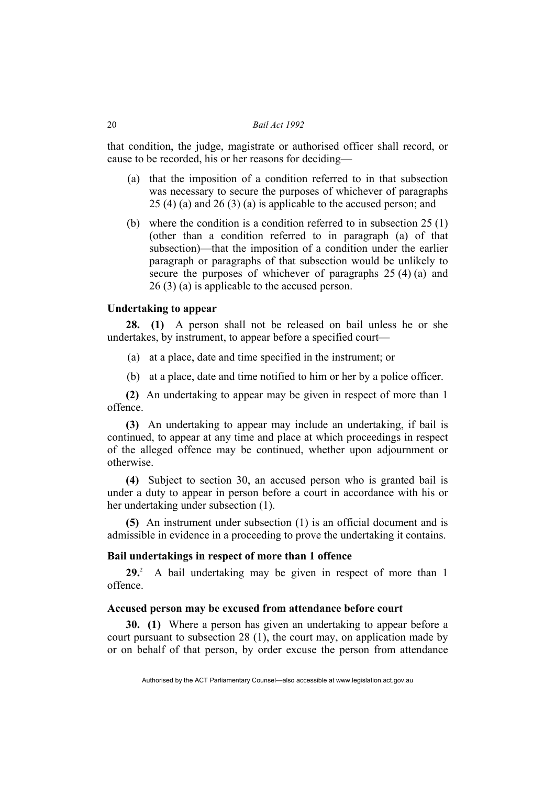that condition, the judge, magistrate or authorised officer shall record, or cause to be recorded, his or her reasons for deciding—

- (a) that the imposition of a condition referred to in that subsection was necessary to secure the purposes of whichever of paragraphs 25 (4) (a) and 26 (3) (a) is applicable to the accused person; and
- (b) where the condition is a condition referred to in subsection 25 (1) (other than a condition referred to in paragraph (a) of that subsection)—that the imposition of a condition under the earlier paragraph or paragraphs of that subsection would be unlikely to secure the purposes of whichever of paragraphs 25 (4) (a) and 26 (3) (a) is applicable to the accused person.

#### **Undertaking to appear**

**28. (1)** A person shall not be released on bail unless he or she undertakes, by instrument, to appear before a specified court—

- (a) at a place, date and time specified in the instrument; or
- (b) at a place, date and time notified to him or her by a police officer.

**(2)** An undertaking to appear may be given in respect of more than 1 offence.

**(3)** An undertaking to appear may include an undertaking, if bail is continued, to appear at any time and place at which proceedings in respect of the alleged offence may be continued, whether upon adjournment or otherwise.

**(4)** Subject to section 30, an accused person who is granted bail is under a duty to appear in person before a court in accordance with his or her undertaking under subsection (1).

**(5)** An instrument under subsection (1) is an official document and is admissible in evidence in a proceeding to prove the undertaking it contains.

### **Bail undertakings in respect of more than 1 offence**

**29.**2 A bail undertaking may be given in respect of more than 1 offence.

### **Accused person may be excused from attendance before court**

**30. (1)** Where a person has given an undertaking to appear before a court pursuant to subsection 28 (1), the court may, on application made by or on behalf of that person, by order excuse the person from attendance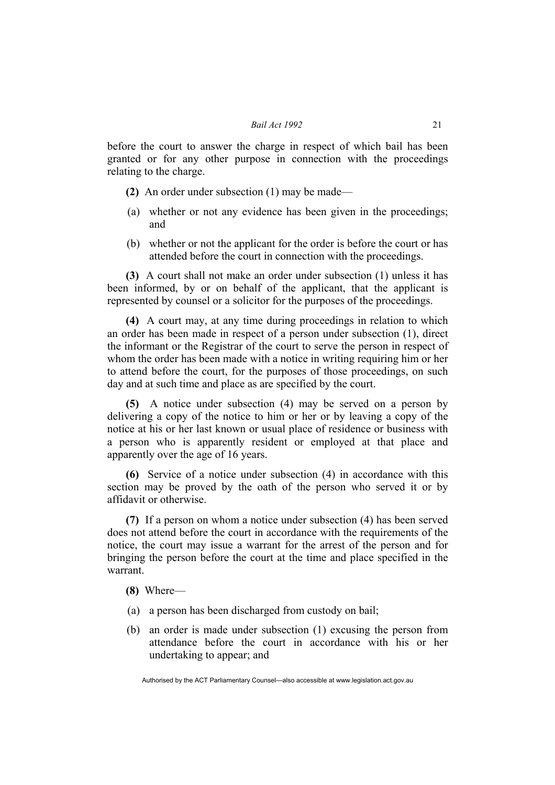before the court to answer the charge in respect of which bail has been granted or for any other purpose in connection with the proceedings relating to the charge.

- **(2)** An order under subsection (1) may be made—
- (a) whether or not any evidence has been given in the proceedings; and
- (b) whether or not the applicant for the order is before the court or has attended before the court in connection with the proceedings.

**(3)** A court shall not make an order under subsection (1) unless it has been informed, by or on behalf of the applicant, that the applicant is represented by counsel or a solicitor for the purposes of the proceedings.

**(4)** A court may, at any time during proceedings in relation to which an order has been made in respect of a person under subsection (1), direct the informant or the Registrar of the court to serve the person in respect of whom the order has been made with a notice in writing requiring him or her to attend before the court, for the purposes of those proceedings, on such day and at such time and place as are specified by the court.

**(5)** A notice under subsection (4) may be served on a person by delivering a copy of the notice to him or her or by leaving a copy of the notice at his or her last known or usual place of residence or business with a person who is apparently resident or employed at that place and apparently over the age of 16 years.

**(6)** Service of a notice under subsection (4) in accordance with this section may be proved by the oath of the person who served it or by affidavit or otherwise.

**(7)** If a person on whom a notice under subsection (4) has been served does not attend before the court in accordance with the requirements of the notice, the court may issue a warrant for the arrest of the person and for bringing the person before the court at the time and place specified in the warrant.

### **(8)** Where—

- (a) a person has been discharged from custody on bail;
- (b) an order is made under subsection (1) excusing the person from attendance before the court in accordance with his or her undertaking to appear; and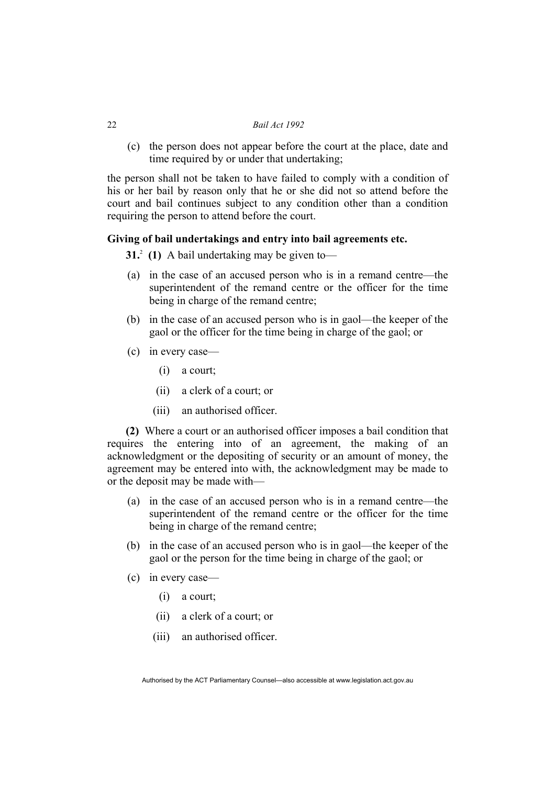(c) the person does not appear before the court at the place, date and time required by or under that undertaking;

the person shall not be taken to have failed to comply with a condition of his or her bail by reason only that he or she did not so attend before the court and bail continues subject to any condition other than a condition requiring the person to attend before the court.

### **Giving of bail undertakings and entry into bail agreements etc.**

**31.** (1) A bail undertaking may be given to—

- (a) in the case of an accused person who is in a remand centre—the superintendent of the remand centre or the officer for the time being in charge of the remand centre;
- (b) in the case of an accused person who is in gaol—the keeper of the gaol or the officer for the time being in charge of the gaol; or
- (c) in every case—
	- (i) a court;
	- (ii) a clerk of a court; or
	- (iii) an authorised officer.

**(2)** Where a court or an authorised officer imposes a bail condition that requires the entering into of an agreement, the making of an acknowledgment or the depositing of security or an amount of money, the agreement may be entered into with, the acknowledgment may be made to or the deposit may be made with—

- (a) in the case of an accused person who is in a remand centre—the superintendent of the remand centre or the officer for the time being in charge of the remand centre;
- (b) in the case of an accused person who is in gaol—the keeper of the gaol or the person for the time being in charge of the gaol; or
- (c) in every case—
	- (i) a court;
	- (ii) a clerk of a court; or
	- (iii) an authorised officer.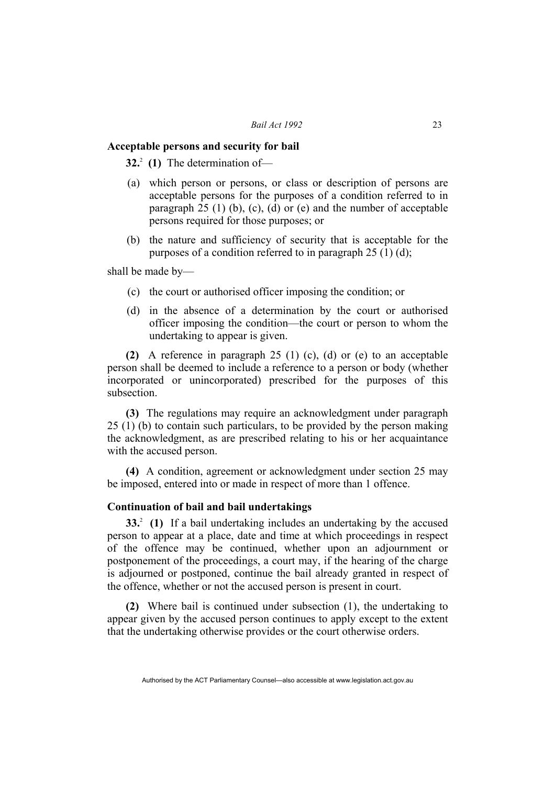#### **Acceptable persons and security for bail**

**32.**<sup>2</sup> (1) The determination of—

- (a) which person or persons, or class or description of persons are acceptable persons for the purposes of a condition referred to in paragraph 25 (1) (b), (c), (d) or (e) and the number of acceptable persons required for those purposes; or
- (b) the nature and sufficiency of security that is acceptable for the purposes of a condition referred to in paragraph  $25 \text{ (1) (d)}$ ;

shall be made by—

- (c) the court or authorised officer imposing the condition; or
- (d) in the absence of a determination by the court or authorised officer imposing the condition—the court or person to whom the undertaking to appear is given.

**(2)** A reference in paragraph 25 (1) (c), (d) or (e) to an acceptable person shall be deemed to include a reference to a person or body (whether incorporated or unincorporated) prescribed for the purposes of this subsection.

**(3)** The regulations may require an acknowledgment under paragraph 25 (1) (b) to contain such particulars, to be provided by the person making the acknowledgment, as are prescribed relating to his or her acquaintance with the accused person.

**(4)** A condition, agreement or acknowledgment under section 25 may be imposed, entered into or made in respect of more than 1 offence.

### **Continuation of bail and bail undertakings**

**33.** (1) If a bail undertaking includes an undertaking by the accused person to appear at a place, date and time at which proceedings in respect of the offence may be continued, whether upon an adjournment or postponement of the proceedings, a court may, if the hearing of the charge is adjourned or postponed, continue the bail already granted in respect of the offence, whether or not the accused person is present in court.

**(2)** Where bail is continued under subsection (1), the undertaking to appear given by the accused person continues to apply except to the extent that the undertaking otherwise provides or the court otherwise orders.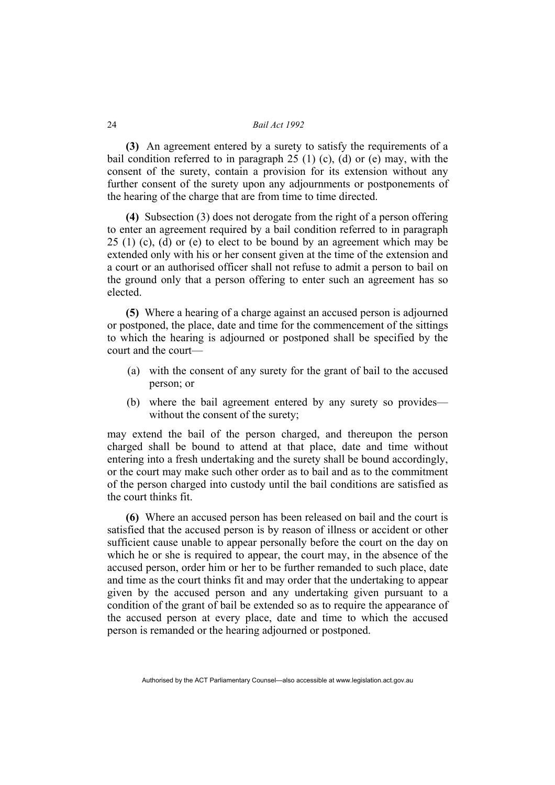**(3)** An agreement entered by a surety to satisfy the requirements of a bail condition referred to in paragraph  $25$  (1) (c), (d) or (e) may, with the consent of the surety, contain a provision for its extension without any further consent of the surety upon any adjournments or postponements of the hearing of the charge that are from time to time directed.

**(4)** Subsection (3) does not derogate from the right of a person offering to enter an agreement required by a bail condition referred to in paragraph  $25$  (1) (c), (d) or (e) to elect to be bound by an agreement which may be extended only with his or her consent given at the time of the extension and a court or an authorised officer shall not refuse to admit a person to bail on the ground only that a person offering to enter such an agreement has so elected.

**(5)** Where a hearing of a charge against an accused person is adjourned or postponed, the place, date and time for the commencement of the sittings to which the hearing is adjourned or postponed shall be specified by the court and the court—

- (a) with the consent of any surety for the grant of bail to the accused person; or
- (b) where the bail agreement entered by any surety so provides without the consent of the surety;

may extend the bail of the person charged, and thereupon the person charged shall be bound to attend at that place, date and time without entering into a fresh undertaking and the surety shall be bound accordingly, or the court may make such other order as to bail and as to the commitment of the person charged into custody until the bail conditions are satisfied as the court thinks fit.

**(6)** Where an accused person has been released on bail and the court is satisfied that the accused person is by reason of illness or accident or other sufficient cause unable to appear personally before the court on the day on which he or she is required to appear, the court may, in the absence of the accused person, order him or her to be further remanded to such place, date and time as the court thinks fit and may order that the undertaking to appear given by the accused person and any undertaking given pursuant to a condition of the grant of bail be extended so as to require the appearance of the accused person at every place, date and time to which the accused person is remanded or the hearing adjourned or postponed.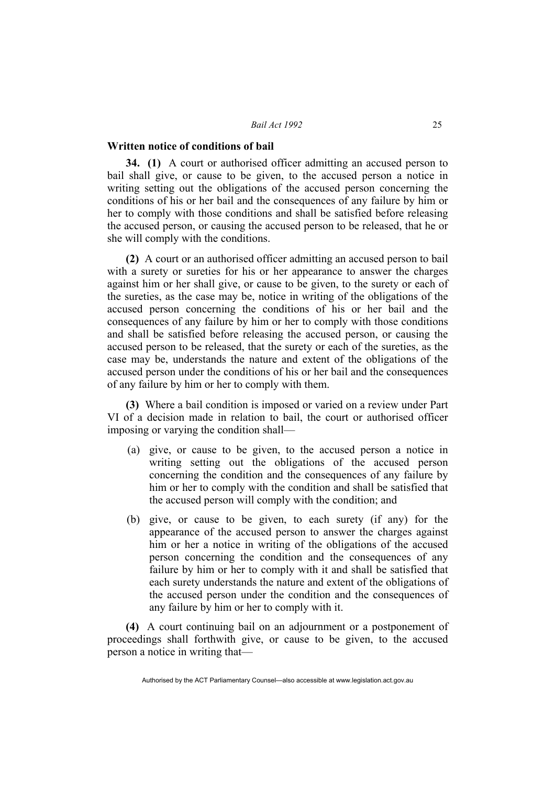#### **Written notice of conditions of bail**

**34. (1)** A court or authorised officer admitting an accused person to bail shall give, or cause to be given, to the accused person a notice in writing setting out the obligations of the accused person concerning the conditions of his or her bail and the consequences of any failure by him or her to comply with those conditions and shall be satisfied before releasing the accused person, or causing the accused person to be released, that he or she will comply with the conditions.

**(2)** A court or an authorised officer admitting an accused person to bail with a surety or sureties for his or her appearance to answer the charges against him or her shall give, or cause to be given, to the surety or each of the sureties, as the case may be, notice in writing of the obligations of the accused person concerning the conditions of his or her bail and the consequences of any failure by him or her to comply with those conditions and shall be satisfied before releasing the accused person, or causing the accused person to be released, that the surety or each of the sureties, as the case may be, understands the nature and extent of the obligations of the accused person under the conditions of his or her bail and the consequences of any failure by him or her to comply with them.

**(3)** Where a bail condition is imposed or varied on a review under Part VI of a decision made in relation to bail, the court or authorised officer imposing or varying the condition shall—

- (a) give, or cause to be given, to the accused person a notice in writing setting out the obligations of the accused person concerning the condition and the consequences of any failure by him or her to comply with the condition and shall be satisfied that the accused person will comply with the condition; and
- (b) give, or cause to be given, to each surety (if any) for the appearance of the accused person to answer the charges against him or her a notice in writing of the obligations of the accused person concerning the condition and the consequences of any failure by him or her to comply with it and shall be satisfied that each surety understands the nature and extent of the obligations of the accused person under the condition and the consequences of any failure by him or her to comply with it.

**(4)** A court continuing bail on an adjournment or a postponement of proceedings shall forthwith give, or cause to be given, to the accused person a notice in writing that—

Authorised by the ACT Parliamentary Counsel—also accessible at www.legislation.act.gov.au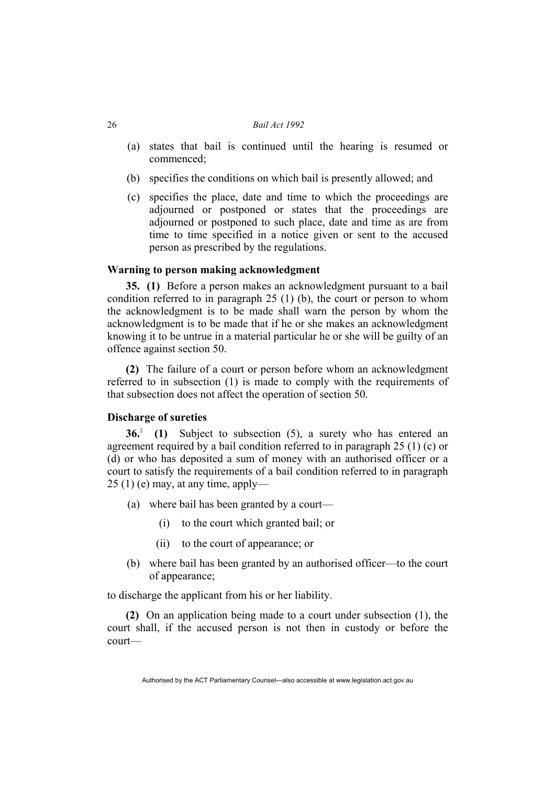- (a) states that bail is continued until the hearing is resumed or commenced;
- (b) specifies the conditions on which bail is presently allowed; and
- (c) specifies the place, date and time to which the proceedings are adjourned or postponed or states that the proceedings are adjourned or postponed to such place, date and time as are from time to time specified in a notice given or sent to the accused person as prescribed by the regulations.

### **Warning to person making acknowledgment**

**35. (1)** Before a person makes an acknowledgment pursuant to a bail condition referred to in paragraph 25 (1) (b), the court or person to whom the acknowledgment is to be made shall warn the person by whom the acknowledgment is to be made that if he or she makes an acknowledgment knowing it to be untrue in a material particular he or she will be guilty of an offence against section 50.

**(2)** The failure of a court or person before whom an acknowledgment referred to in subsection (1) is made to comply with the requirements of that subsection does not affect the operation of section 50.

### **Discharge of sureties**

**36.**<sup>2</sup> (1) Subject to subsection (5), a surety who has entered an agreement required by a bail condition referred to in paragraph 25 (1) (c) or (d) or who has deposited a sum of money with an authorised officer or a court to satisfy the requirements of a bail condition referred to in paragraph  $25(1)$  (e) may, at any time, apply—

- (a) where bail has been granted by a court—
	- (i) to the court which granted bail; or
	- (ii) to the court of appearance; or
- (b) where bail has been granted by an authorised officer—to the court of appearance;

to discharge the applicant from his or her liability.

**(2)** On an application being made to a court under subsection (1), the court shall, if the accused person is not then in custody or before the court—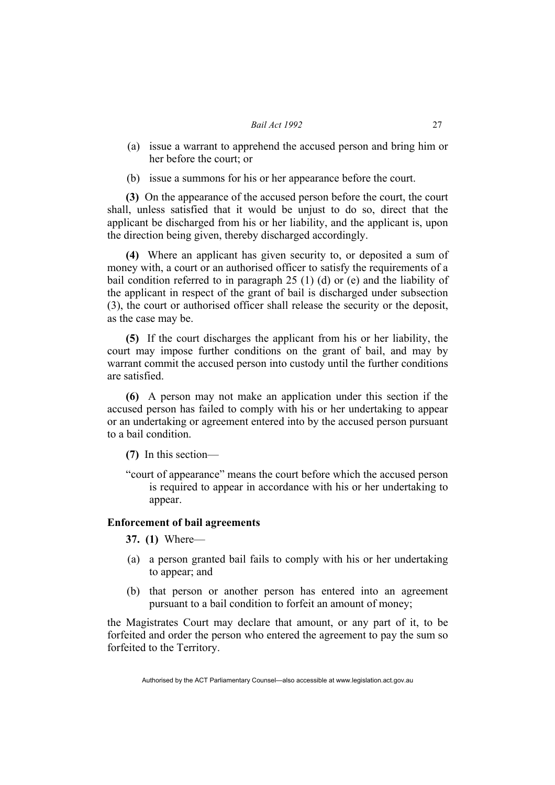- (a) issue a warrant to apprehend the accused person and bring him or her before the court; or
- (b) issue a summons for his or her appearance before the court.

**(3)** On the appearance of the accused person before the court, the court shall, unless satisfied that it would be unjust to do so, direct that the applicant be discharged from his or her liability, and the applicant is, upon the direction being given, thereby discharged accordingly.

**(4)** Where an applicant has given security to, or deposited a sum of money with, a court or an authorised officer to satisfy the requirements of a bail condition referred to in paragraph 25 (1) (d) or (e) and the liability of the applicant in respect of the grant of bail is discharged under subsection (3), the court or authorised officer shall release the security or the deposit, as the case may be.

**(5)** If the court discharges the applicant from his or her liability, the court may impose further conditions on the grant of bail, and may by warrant commit the accused person into custody until the further conditions are satisfied.

**(6)** A person may not make an application under this section if the accused person has failed to comply with his or her undertaking to appear or an undertaking or agreement entered into by the accused person pursuant to a bail condition.

**(7)** In this section—

"court of appearance" means the court before which the accused person is required to appear in accordance with his or her undertaking to appear.

#### **Enforcement of bail agreements**

**37. (1)** Where—

- (a) a person granted bail fails to comply with his or her undertaking to appear; and
- (b) that person or another person has entered into an agreement pursuant to a bail condition to forfeit an amount of money;

the Magistrates Court may declare that amount, or any part of it, to be forfeited and order the person who entered the agreement to pay the sum so forfeited to the Territory.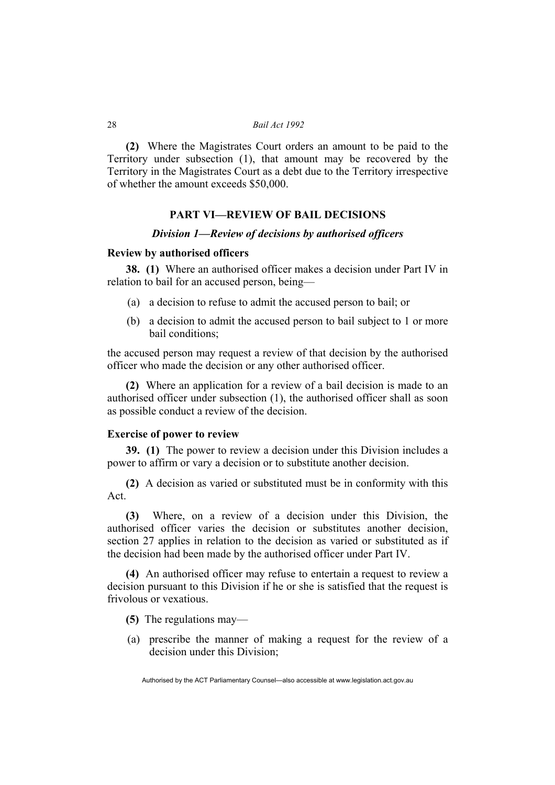**(2)** Where the Magistrates Court orders an amount to be paid to the Territory under subsection (1), that amount may be recovered by the Territory in the Magistrates Court as a debt due to the Territory irrespective of whether the amount exceeds \$50,000.

### **PART VI—REVIEW OF BAIL DECISIONS**

### *Division 1—Review of decisions by authorised officers*

#### **Review by authorised officers**

**38. (1)** Where an authorised officer makes a decision under Part IV in relation to bail for an accused person, being—

- (a) a decision to refuse to admit the accused person to bail; or
- (b) a decision to admit the accused person to bail subject to 1 or more bail conditions;

the accused person may request a review of that decision by the authorised officer who made the decision or any other authorised officer.

**(2)** Where an application for a review of a bail decision is made to an authorised officer under subsection (1), the authorised officer shall as soon as possible conduct a review of the decision.

### **Exercise of power to review**

**39. (1)** The power to review a decision under this Division includes a power to affirm or vary a decision or to substitute another decision.

**(2)** A decision as varied or substituted must be in conformity with this Act.

**(3)** Where, on a review of a decision under this Division, the authorised officer varies the decision or substitutes another decision, section 27 applies in relation to the decision as varied or substituted as if the decision had been made by the authorised officer under Part IV.

**(4)** An authorised officer may refuse to entertain a request to review a decision pursuant to this Division if he or she is satisfied that the request is frivolous or vexatious.

- **(5)** The regulations may—
- (a) prescribe the manner of making a request for the review of a decision under this Division;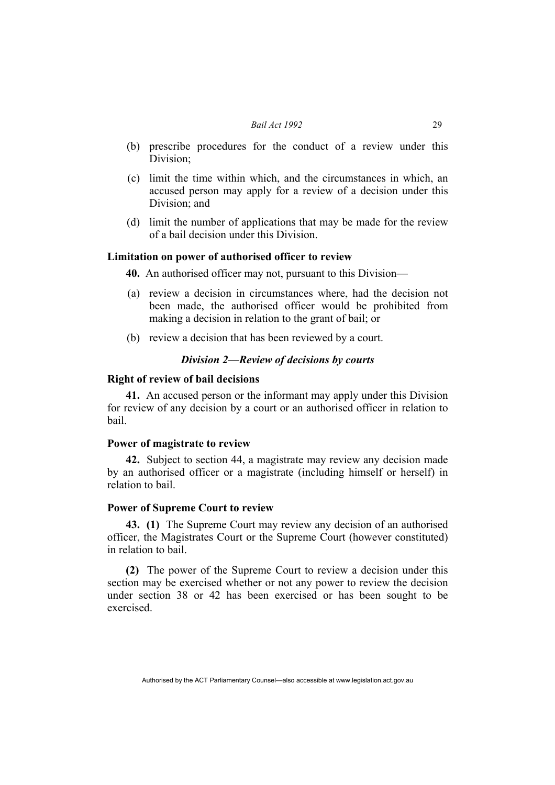- (b) prescribe procedures for the conduct of a review under this Division;
- (c) limit the time within which, and the circumstances in which, an accused person may apply for a review of a decision under this Division; and
- (d) limit the number of applications that may be made for the review of a bail decision under this Division.

### **Limitation on power of authorised officer to review**

**40.** An authorised officer may not, pursuant to this Division—

- (a) review a decision in circumstances where, had the decision not been made, the authorised officer would be prohibited from making a decision in relation to the grant of bail; or
- (b) review a decision that has been reviewed by a court.

### *Division 2—Review of decisions by courts*

#### **Right of review of bail decisions**

**41.** An accused person or the informant may apply under this Division for review of any decision by a court or an authorised officer in relation to bail.

### **Power of magistrate to review**

**42.** Subject to section 44, a magistrate may review any decision made by an authorised officer or a magistrate (including himself or herself) in relation to bail.

### **Power of Supreme Court to review**

**43. (1)** The Supreme Court may review any decision of an authorised officer, the Magistrates Court or the Supreme Court (however constituted) in relation to bail.

**(2)** The power of the Supreme Court to review a decision under this section may be exercised whether or not any power to review the decision under section 38 or 42 has been exercised or has been sought to be exercised.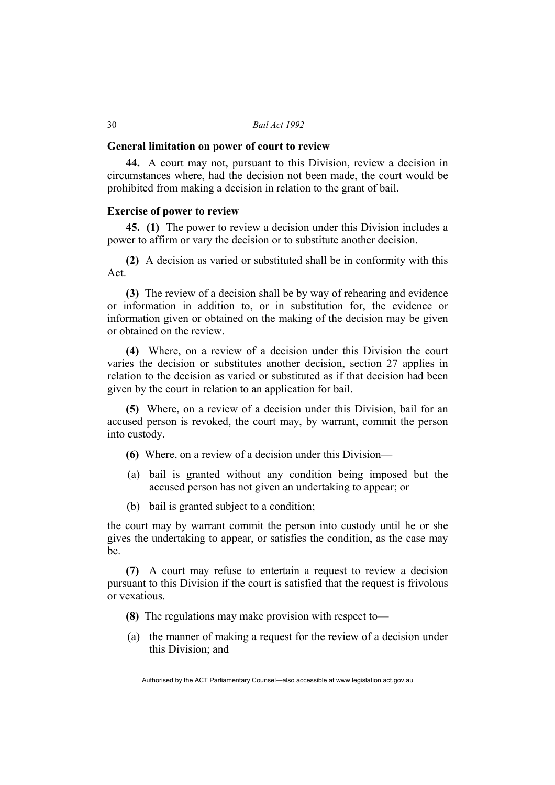#### **General limitation on power of court to review**

**44.** A court may not, pursuant to this Division, review a decision in circumstances where, had the decision not been made, the court would be prohibited from making a decision in relation to the grant of bail.

### **Exercise of power to review**

**45. (1)** The power to review a decision under this Division includes a power to affirm or vary the decision or to substitute another decision.

**(2)** A decision as varied or substituted shall be in conformity with this Act.

**(3)** The review of a decision shall be by way of rehearing and evidence or information in addition to, or in substitution for, the evidence or information given or obtained on the making of the decision may be given or obtained on the review.

**(4)** Where, on a review of a decision under this Division the court varies the decision or substitutes another decision, section 27 applies in relation to the decision as varied or substituted as if that decision had been given by the court in relation to an application for bail.

**(5)** Where, on a review of a decision under this Division, bail for an accused person is revoked, the court may, by warrant, commit the person into custody.

- **(6)** Where, on a review of a decision under this Division—
- (a) bail is granted without any condition being imposed but the accused person has not given an undertaking to appear; or
- (b) bail is granted subject to a condition;

the court may by warrant commit the person into custody until he or she gives the undertaking to appear, or satisfies the condition, as the case may be.

**(7)** A court may refuse to entertain a request to review a decision pursuant to this Division if the court is satisfied that the request is frivolous or vexatious.

- **(8)** The regulations may make provision with respect to—
- (a) the manner of making a request for the review of a decision under this Division; and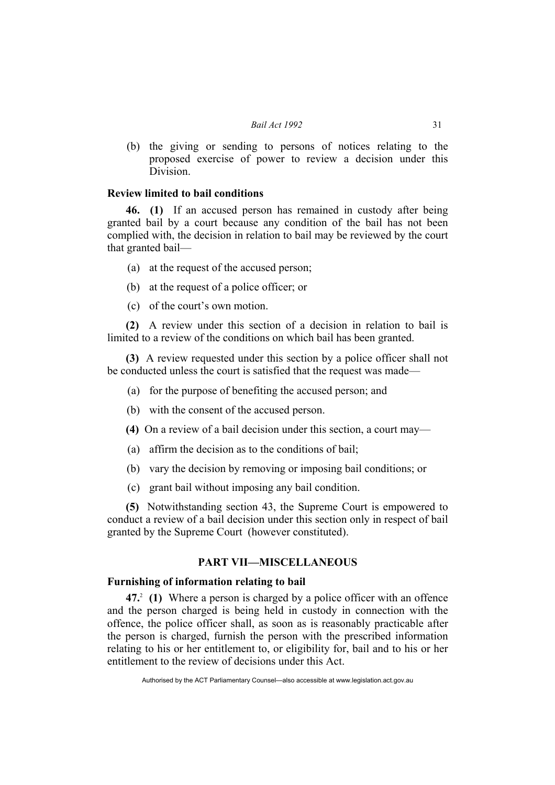(b) the giving or sending to persons of notices relating to the proposed exercise of power to review a decision under this Division.

### **Review limited to bail conditions**

**46. (1)** If an accused person has remained in custody after being granted bail by a court because any condition of the bail has not been complied with, the decision in relation to bail may be reviewed by the court that granted bail—

- (a) at the request of the accused person;
- (b) at the request of a police officer; or
- (c) of the court's own motion.

**(2)** A review under this section of a decision in relation to bail is limited to a review of the conditions on which bail has been granted.

**(3)** A review requested under this section by a police officer shall not be conducted unless the court is satisfied that the request was made—

- (a) for the purpose of benefiting the accused person; and
- (b) with the consent of the accused person.
- **(4)** On a review of a bail decision under this section, a court may—
- (a) affirm the decision as to the conditions of bail;
- (b) vary the decision by removing or imposing bail conditions; or
- (c) grant bail without imposing any bail condition.

**(5)** Notwithstanding section 43, the Supreme Court is empowered to conduct a review of a bail decision under this section only in respect of bail granted by the Supreme Court (however constituted).

### **PART VII—MISCELLANEOUS**

### **Furnishing of information relating to bail**

**47.**<sup>2</sup>  **(1)** Where a person is charged by a police officer with an offence and the person charged is being held in custody in connection with the offence, the police officer shall, as soon as is reasonably practicable after the person is charged, furnish the person with the prescribed information relating to his or her entitlement to, or eligibility for, bail and to his or her entitlement to the review of decisions under this Act.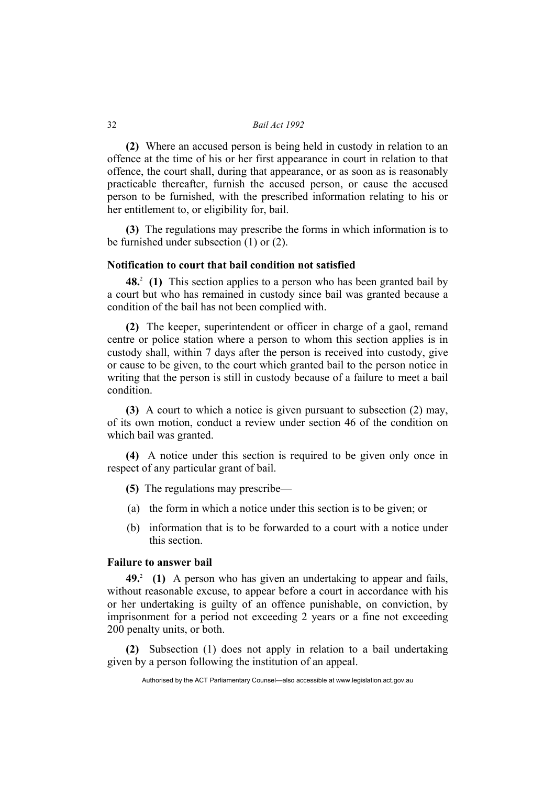**(2)** Where an accused person is being held in custody in relation to an offence at the time of his or her first appearance in court in relation to that offence, the court shall, during that appearance, or as soon as is reasonably practicable thereafter, furnish the accused person, or cause the accused person to be furnished, with the prescribed information relating to his or her entitlement to, or eligibility for, bail.

**(3)** The regulations may prescribe the forms in which information is to be furnished under subsection (1) or (2).

### **Notification to court that bail condition not satisfied**

**48.** (1) This section applies to a person who has been granted bail by a court but who has remained in custody since bail was granted because a condition of the bail has not been complied with.

**(2)** The keeper, superintendent or officer in charge of a gaol, remand centre or police station where a person to whom this section applies is in custody shall, within 7 days after the person is received into custody, give or cause to be given, to the court which granted bail to the person notice in writing that the person is still in custody because of a failure to meet a bail condition.

**(3)** A court to which a notice is given pursuant to subsection (2) may, of its own motion, conduct a review under section 46 of the condition on which bail was granted.

**(4)** A notice under this section is required to be given only once in respect of any particular grant of bail.

- **(5)** The regulations may prescribe—
- (a) the form in which a notice under this section is to be given; or
- (b) information that is to be forwarded to a court with a notice under this section.

### **Failure to answer bail**

**49.**<sup>2</sup>**(1)** A person who has given an undertaking to appear and fails, without reasonable excuse, to appear before a court in accordance with his or her undertaking is guilty of an offence punishable, on conviction, by imprisonment for a period not exceeding 2 years or a fine not exceeding 200 penalty units, or both.

**(2)** Subsection (1) does not apply in relation to a bail undertaking given by a person following the institution of an appeal.

Authorised by the ACT Parliamentary Counsel—also accessible at www.legislation.act.gov.au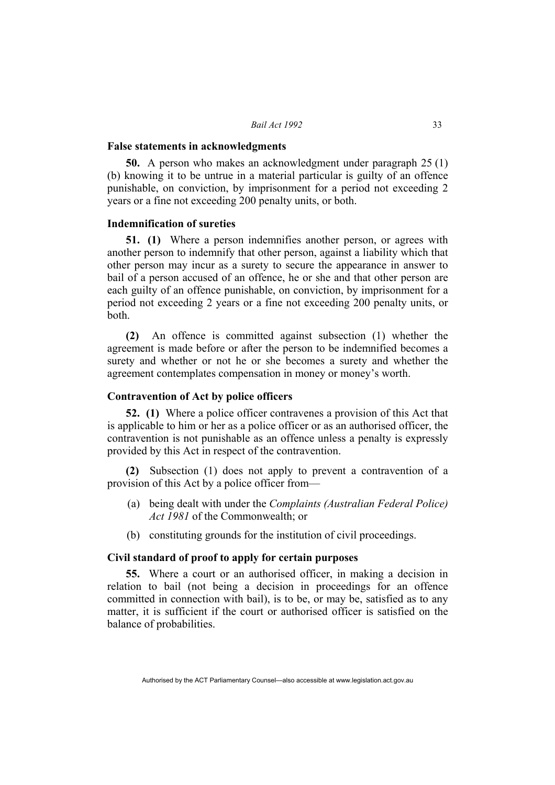#### **False statements in acknowledgments**

**50.** A person who makes an acknowledgment under paragraph 25 (1) (b) knowing it to be untrue in a material particular is guilty of an offence punishable, on conviction, by imprisonment for a period not exceeding 2 years or a fine not exceeding 200 penalty units, or both.

### **Indemnification of sureties**

**51. (1)** Where a person indemnifies another person, or agrees with another person to indemnify that other person, against a liability which that other person may incur as a surety to secure the appearance in answer to bail of a person accused of an offence, he or she and that other person are each guilty of an offence punishable, on conviction, by imprisonment for a period not exceeding 2 years or a fine not exceeding 200 penalty units, or both.

**(2)** An offence is committed against subsection (1) whether the agreement is made before or after the person to be indemnified becomes a surety and whether or not he or she becomes a surety and whether the agreement contemplates compensation in money or money's worth.

### **Contravention of Act by police officers**

**52. (1)** Where a police officer contravenes a provision of this Act that is applicable to him or her as a police officer or as an authorised officer, the contravention is not punishable as an offence unless a penalty is expressly provided by this Act in respect of the contravention.

**(2)** Subsection (1) does not apply to prevent a contravention of a provision of this Act by a police officer from—

- (a) being dealt with under the *Complaints (Australian Federal Police) Act 1981* of the Commonwealth; or
- (b) constituting grounds for the institution of civil proceedings.

### **Civil standard of proof to apply for certain purposes**

**55.** Where a court or an authorised officer, in making a decision in relation to bail (not being a decision in proceedings for an offence committed in connection with bail), is to be, or may be, satisfied as to any matter, it is sufficient if the court or authorised officer is satisfied on the balance of probabilities.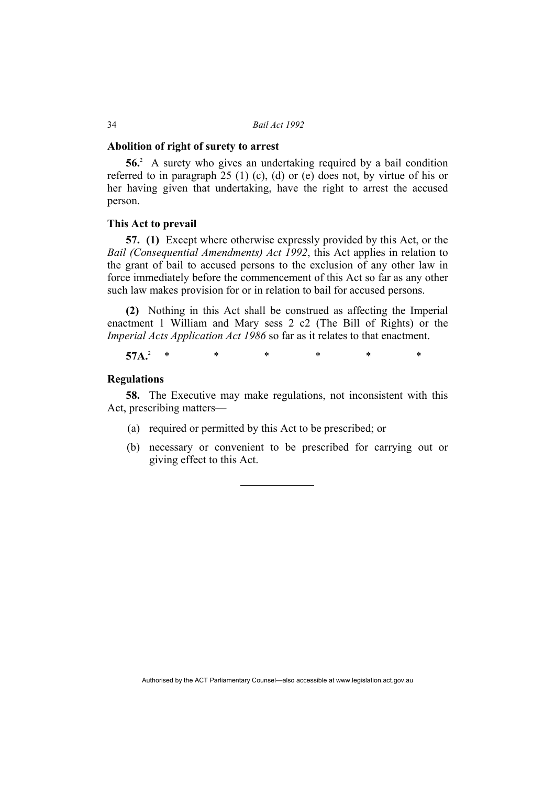#### **Abolition of right of surety to arrest**

**56.**<sup>2</sup> A surety who gives an undertaking required by a bail condition referred to in paragraph 25 (1) (c), (d) or (e) does not, by virtue of his or her having given that undertaking, have the right to arrest the accused person.

### **This Act to prevail**

**57. (1)** Except where otherwise expressly provided by this Act, or the *Bail (Consequential Amendments) Act 1992*, this Act applies in relation to the grant of bail to accused persons to the exclusion of any other law in force immediately before the commencement of this Act so far as any other such law makes provision for or in relation to bail for accused persons.

**(2)** Nothing in this Act shall be construed as affecting the Imperial enactment 1 William and Mary sess 2 c2 (The Bill of Rights) or the *Imperial Acts Application Act 1986* so far as it relates to that enactment.

57A.<sup>2</sup>  $*$ \* \* \* \* \* \*

### **Regulations**

**58.** The Executive may make regulations, not inconsistent with this Act, prescribing matters—

- (a) required or permitted by this Act to be prescribed; or
- (b) necessary or convenient to be prescribed for carrying out or giving effect to this Act.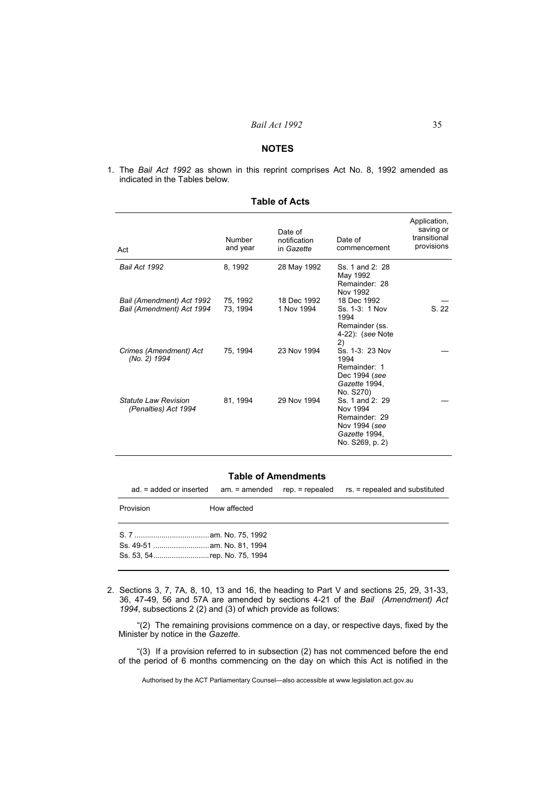#### **NOTES**

1. The *Bail Act 1992* as shown in this reprint comprises Act No. 8, 1992 amended as indicated in the Tables below.

| Act                                                    | Number<br>and year   | Date of<br>notification<br>in Gazette | Date of<br>commencement                                                                           | Application,<br>saving or<br>transitional<br>provisions |
|--------------------------------------------------------|----------------------|---------------------------------------|---------------------------------------------------------------------------------------------------|---------------------------------------------------------|
| Bail Act 1992                                          | 8, 1992              | 28 May 1992                           | Ss. 1 and 2: 28<br>May 1992<br>Remainder: 28<br>Nov 1992                                          |                                                         |
| Bail (Amendment) Act 1992<br>Bail (Amendment) Act 1994 | 75, 1992<br>73, 1994 | 18 Dec 1992<br>1 Nov 1994             | 18 Dec 1992<br>Ss. 1-3: 1 Nov<br>1994<br>Remainder (ss.<br>4-22): (see Note<br>2)                 | S. 22                                                   |
| Crimes (Amendment) Act<br>(No. 2) 1994                 | 75, 1994             | 23 Nov 1994                           | Ss. 1-3: 23 Nov<br>1994<br>Remainder: 1<br>Dec 1994 (see<br>Gazette 1994,<br>No. S270)            |                                                         |
| Statute I aw Revision<br>(Penalties) Act 1994          | 81, 1994             | 29 Nov 1994                           | Ss. 1 and 2: 29<br>Nov 1994<br>Remainder: 29<br>Nov 1994 (see<br>Gazette 1994,<br>No. S269, p. 2) |                                                         |

### **Table of Acts**

#### **Table of Amendments**

ad. = added or inserted am. = amended rep. = repealed rs. = repealed and substituted

| Provision                   | How affected |
|-----------------------------|--------------|
| Ss. 53, 54rep. No. 75, 1994 |              |

2. Sections 3, 7, 7A, 8, 10, 13 and 16, the heading to Part V and sections 25, 29, 31-33, 36, 47-49, 56 and 57A are amended by sections 4-21 of the *Bail (Amendment) Act 1994*, subsections 2 (2) and (3) of which provide as follows:

"(2)The remaining provisions commence on a day, or respective days, fixed by the Minister by notice in the *Gazette*.

"(3)If a provision referred to in subsection (2) has not commenced before the end of the period of 6 months commencing on the day on which this Act is notified in the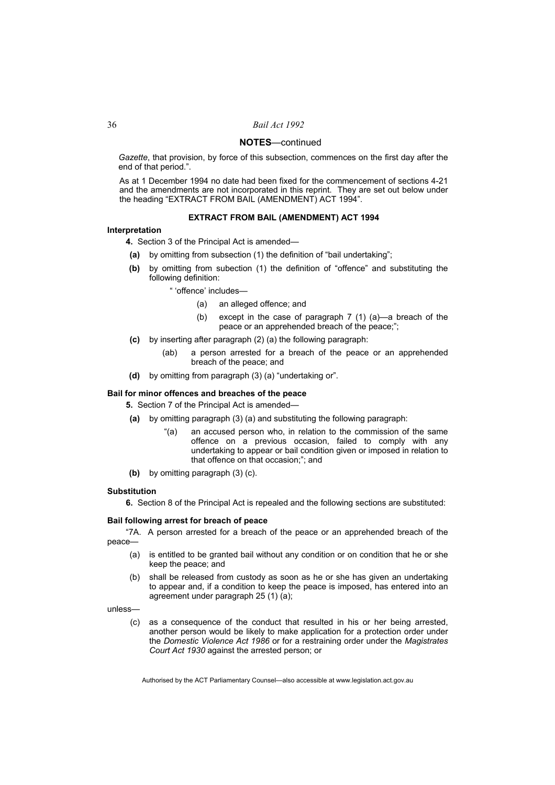*Gazette*, that provision, by force of this subsection, commences on the first day after the end of that period.".

As at 1 December 1994 no date had been fixed for the commencement of sections 4-21 and the amendments are not incorporated in this reprint. They are set out below under the heading "EXTRACT FROM BAIL (AMENDMENT) ACT 1994".

#### **EXTRACT FROM BAIL (AMENDMENT) ACT 1994**

#### **Interpretation**

- **4.** Section 3 of the Principal Act is amended—
- **(a)** by omitting from subsection (1) the definition of "bail undertaking";
- **(b)** by omitting from subection (1) the definition of "offence" and substituting the following definition:
	- " 'offence' includes—
		- (a) an alleged offence; and
		- (b) except in the case of paragraph 7 (1) (a)—a breach of the peace or an apprehended breach of the peace;";
- **(c)** by inserting after paragraph (2) (a) the following paragraph:
	- (ab) a person arrested for a breach of the peace or an apprehended breach of the peace; and
- **(d)** by omitting from paragraph (3) (a) "undertaking or".

#### **Bail for minor offences and breaches of the peace**

**5.** Section 7 of the Principal Act is amended—

- **(a)** by omitting paragraph (3) (a) and substituting the following paragraph:
	- "(a) an accused person who, in relation to the commission of the same offence on a previous occasion, failed to comply with any undertaking to appear or bail condition given or imposed in relation to that offence on that occasion;"; and
- **(b)** by omitting paragraph (3) (c).

#### **Substitution**

**6.** Section 8 of the Principal Act is repealed and the following sections are substituted:

#### **Bail following arrest for breach of peace**

"7A. A person arrested for a breach of the peace or an apprehended breach of the peace—

- (a) is entitled to be granted bail without any condition or on condition that he or she keep the peace; and
- (b) shall be released from custody as soon as he or she has given an undertaking to appear and, if a condition to keep the peace is imposed, has entered into an agreement under paragraph 25 (1) (a);

unless—

 (c) as a consequence of the conduct that resulted in his or her being arrested, another person would be likely to make application for a protection order under the *Domestic Violence Act 1986* or for a restraining order under the *Magistrates Court Act 1930* against the arrested person; or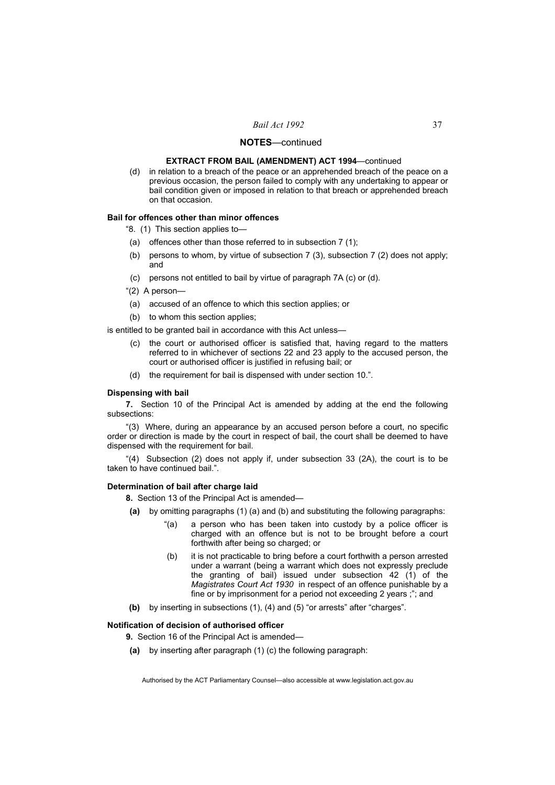#### **EXTRACT FROM BAIL (AMENDMENT) ACT 1994**—continued

 (d) in relation to a breach of the peace or an apprehended breach of the peace on a previous occasion, the person failed to comply with any undertaking to appear or bail condition given or imposed in relation to that breach or apprehended breach on that occasion.

#### **Bail for offences other than minor offences**

"8. (1) This section applies to—

- (a) offences other than those referred to in subsection 7 (1);
- (b) persons to whom, by virtue of subsection 7 (3), subsection 7 (2) does not apply; and
- (c) persons not entitled to bail by virtue of paragraph 7A (c) or (d).
- "(2) A person—
- (a) accused of an offence to which this section applies; or
- (b) to whom this section applies;

is entitled to be granted bail in accordance with this Act unless—

- (c) the court or authorised officer is satisfied that, having regard to the matters referred to in whichever of sections 22 and 23 apply to the accused person, the court or authorised officer is justified in refusing bail; or
- (d) the requirement for bail is dispensed with under section 10.".

#### **Dispensing with bail**

**7.** Section 10 of the Principal Act is amended by adding at the end the following subsections:

"(3) Where, during an appearance by an accused person before a court, no specific order or direction is made by the court in respect of bail, the court shall be deemed to have dispensed with the requirement for bail.

"(4) Subsection (2) does not apply if, under subsection 33 (2A), the court is to be taken to have continued bail.".

#### **Determination of bail after charge laid**

**8.** Section 13 of the Principal Act is amended—

- **(a)** by omitting paragraphs (1) (a) and (b) and substituting the following paragraphs:
	- "(a) a person who has been taken into custody by a police officer is charged with an offence but is not to be brought before a court forthwith after being so charged; or
	- (b) it is not practicable to bring before a court forthwith a person arrested under a warrant (being a warrant which does not expressly preclude the granting of bail) issued under subsection 42 (1) of the *Magistrates Court Act 1930* in respect of an offence punishable by a fine or by imprisonment for a period not exceeding 2 years ;"; and
- **(b)** by inserting in subsections (1), (4) and (5) "or arrests" after "charges".

#### **Notification of decision of authorised officer**

**9.** Section 16 of the Principal Act is amended—

**(a)** by inserting after paragraph (1) (c) the following paragraph: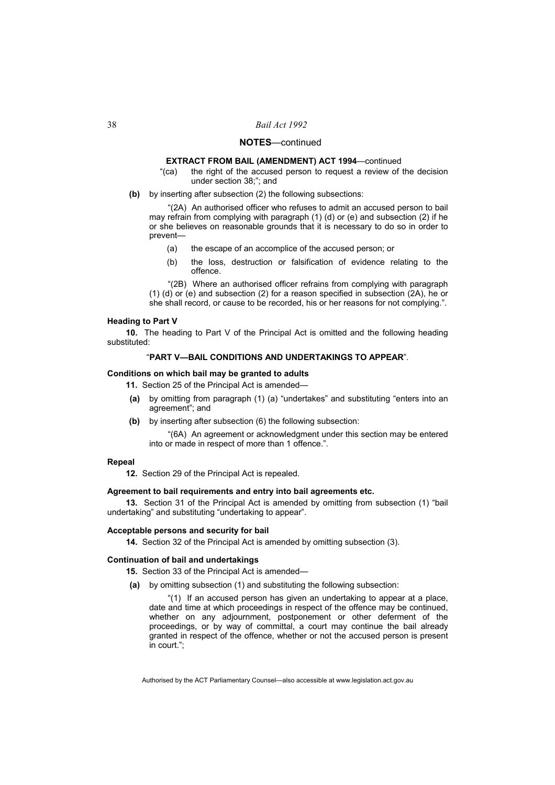#### **EXTRACT FROM BAIL (AMENDMENT) ACT 1994**—continued

- "(ca) the right of the accused person to request a review of the decision under section 38;"; and
- **(b)** by inserting after subsection (2) the following subsections:

"(2A) An authorised officer who refuses to admit an accused person to bail may refrain from complying with paragraph (1) (d) or (e) and subsection (2) if he or she believes on reasonable grounds that it is necessary to do so in order to prevent—

- (a) the escape of an accomplice of the accused person; or
- (b) the loss, destruction or falsification of evidence relating to the offence.

"(2B) Where an authorised officer refrains from complying with paragraph (1) (d) or (e) and subsection (2) for a reason specified in subsection (2A), he or she shall record, or cause to be recorded, his or her reasons for not complying.".

#### **Heading to Part V**

**10.** The heading to Part V of the Principal Act is omitted and the following heading substituted:

#### "**PART V—BAIL CONDITIONS AND UNDERTAKINGS TO APPEAR**".

#### **Conditions on which bail may be granted to adults**

11. Section 25 of the Principal Act is amended-

- **(a)** by omitting from paragraph (1) (a) "undertakes" and substituting "enters into an agreement"; and
- **(b)** by inserting after subsection (6) the following subsection:

"(6A) An agreement or acknowledgment under this section may be entered into or made in respect of more than 1 offence.".

#### **Repeal**

**12.** Section 29 of the Principal Act is repealed.

#### **Agreement to bail requirements and entry into bail agreements etc.**

**13.** Section 31 of the Principal Act is amended by omitting from subsection (1) "bail undertaking" and substituting "undertaking to appear".

#### **Acceptable persons and security for bail**

**14.** Section 32 of the Principal Act is amended by omitting subsection (3).

#### **Continuation of bail and undertakings**

- **15.** Section 33 of the Principal Act is amended—
- **(a)** by omitting subsection (1) and substituting the following subsection:

"(1) If an accused person has given an undertaking to appear at a place, date and time at which proceedings in respect of the offence may be continued, whether on any adjournment, postponement or other deferment of the proceedings, or by way of committal, a court may continue the bail already granted in respect of the offence, whether or not the accused person is present in court.";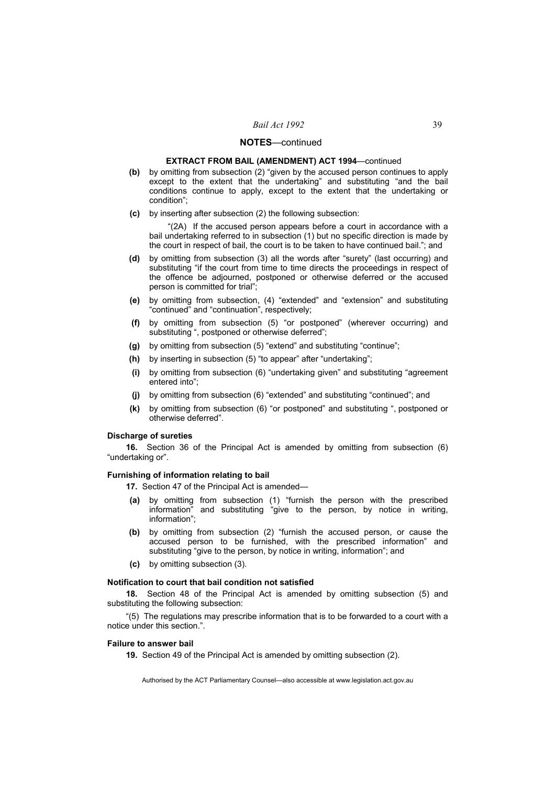#### **EXTRACT FROM BAIL (AMENDMENT) ACT 1994**—continued

- **(b)** by omitting from subsection (2) "given by the accused person continues to apply except to the extent that the undertaking" and substituting "and the bail conditions continue to apply, except to the extent that the undertaking or condition";
- **(c)** by inserting after subsection (2) the following subsection:

"(2A) If the accused person appears before a court in accordance with a bail undertaking referred to in subsection (1) but no specific direction is made by the court in respect of bail, the court is to be taken to have continued bail."; and

- **(d)** by omitting from subsection (3) all the words after "surety" (last occurring) and substituting "if the court from time to time directs the proceedings in respect of the offence be adjourned, postponed or otherwise deferred or the accused person is committed for trial";
- **(e)** by omitting from subsection, (4) "extended" and "extension" and substituting "continued" and "continuation", respectively;
- **(f)** by omitting from subsection (5) "or postponed" (wherever occurring) and substituting ", postponed or otherwise deferred";
- **(g)** by omitting from subsection (5) "extend" and substituting "continue";
- **(h)** by inserting in subsection (5) "to appear" after "undertaking";
- **(i)** by omitting from subsection (6) "undertaking given" and substituting "agreement entered into";
- **(j)** by omitting from subsection (6) "extended" and substituting "continued"; and
- **(k)** by omitting from subsection (6) "or postponed" and substituting ", postponed or otherwise deferred".

#### **Discharge of sureties**

**16.** Section 36 of the Principal Act is amended by omitting from subsection (6) "undertaking or".

#### **Furnishing of information relating to bail**

**17.** Section 47 of the Principal Act is amended—

- **(a)** by omitting from subsection (1) "furnish the person with the prescribed information" and substituting "give to the person, by notice in writing, information";
- **(b)** by omitting from subsection (2) "furnish the accused person, or cause the accused person to be furnished, with the prescribed information" and substituting "give to the person, by notice in writing, information"; and
- **(c)** by omitting subsection (3).

#### **Notification to court that bail condition not satisfied**

**18.** Section 48 of the Principal Act is amended by omitting subsection (5) and substituting the following subsection:

"(5) The regulations may prescribe information that is to be forwarded to a court with a notice under this section.".

#### **Failure to answer bail**

**19.** Section 49 of the Principal Act is amended by omitting subsection (2).